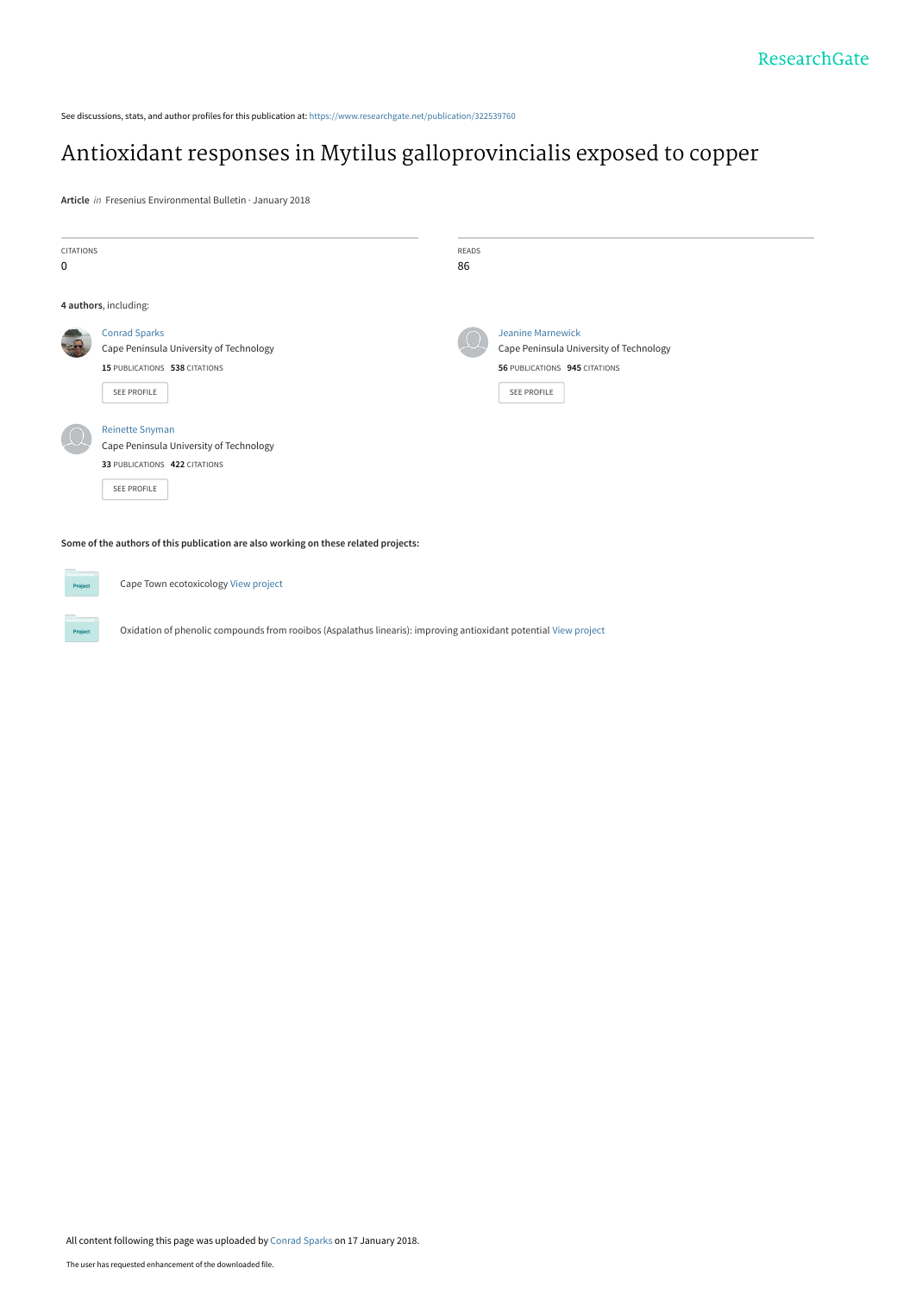See discussions, stats, and author profiles for this publication at: [https://www.researchgate.net/publication/322539760](https://www.researchgate.net/publication/322539760_Antioxidant_responses_in_Mytilus_galloprovincialis_exposed_to_copper?enrichId=rgreq-f8ed2a7bbf400f7dbc990e8126e3ed41-XXX&enrichSource=Y292ZXJQYWdlOzMyMjUzOTc2MDtBUzo1ODM3NDQ1MTk5NTAzNDNAMTUxNjE4Njk0NzkyMA%3D%3D&el=1_x_2&_esc=publicationCoverPdf)

# [Antioxidant responses in Mytilus galloprovincialis exposed to copper](https://www.researchgate.net/publication/322539760_Antioxidant_responses_in_Mytilus_galloprovincialis_exposed_to_copper?enrichId=rgreq-f8ed2a7bbf400f7dbc990e8126e3ed41-XXX&enrichSource=Y292ZXJQYWdlOzMyMjUzOTc2MDtBUzo1ODM3NDQ1MTk5NTAzNDNAMTUxNjE4Njk0NzkyMA%3D%3D&el=1_x_3&_esc=publicationCoverPdf)

**Article** in Fresenius Environmental Bulletin · January 2018

| <b>CITATIONS</b>                                                                    |                                         | <b>READS</b> |                                         |  |  |  |  |  |  |
|-------------------------------------------------------------------------------------|-----------------------------------------|--------------|-----------------------------------------|--|--|--|--|--|--|
| 0                                                                                   |                                         | 86           |                                         |  |  |  |  |  |  |
|                                                                                     | 4 authors, including:                   |              |                                         |  |  |  |  |  |  |
| بياجته                                                                              | <b>Conrad Sparks</b>                    |              | <b>Jeanine Marnewick</b>                |  |  |  |  |  |  |
|                                                                                     | Cape Peninsula University of Technology |              | Cape Peninsula University of Technology |  |  |  |  |  |  |
|                                                                                     | 15 PUBLICATIONS 538 CITATIONS           |              | 56 PUBLICATIONS 945 CITATIONS           |  |  |  |  |  |  |
|                                                                                     | <b>SEE PROFILE</b>                      |              | <b>SEE PROFILE</b>                      |  |  |  |  |  |  |
|                                                                                     | <b>Reinette Snyman</b>                  |              |                                         |  |  |  |  |  |  |
|                                                                                     | Cape Peninsula University of Technology |              |                                         |  |  |  |  |  |  |
|                                                                                     | 33 PUBLICATIONS 422 CITATIONS           |              |                                         |  |  |  |  |  |  |
|                                                                                     | <b>SEE PROFILE</b>                      |              |                                         |  |  |  |  |  |  |
| Some of the authors of this publication are also working on these related projects: |                                         |              |                                         |  |  |  |  |  |  |

Cape Town ecotoxicology [View project](https://www.researchgate.net/project/Cape-Town-ecotoxicology?enrichId=rgreq-f8ed2a7bbf400f7dbc990e8126e3ed41-XXX&enrichSource=Y292ZXJQYWdlOzMyMjUzOTc2MDtBUzo1ODM3NDQ1MTk5NTAzNDNAMTUxNjE4Njk0NzkyMA%3D%3D&el=1_x_9&_esc=publicationCoverPdf)

Project

Oxidation of phenolic compounds from rooibos (Aspalathus linearis): improving antioxidant potential [View project](https://www.researchgate.net/project/Oxidation-of-phenolic-compounds-from-rooibos-Aspalathus-linearis-improving-antioxidant-potential?enrichId=rgreq-f8ed2a7bbf400f7dbc990e8126e3ed41-XXX&enrichSource=Y292ZXJQYWdlOzMyMjUzOTc2MDtBUzo1ODM3NDQ1MTk5NTAzNDNAMTUxNjE4Njk0NzkyMA%3D%3D&el=1_x_9&_esc=publicationCoverPdf)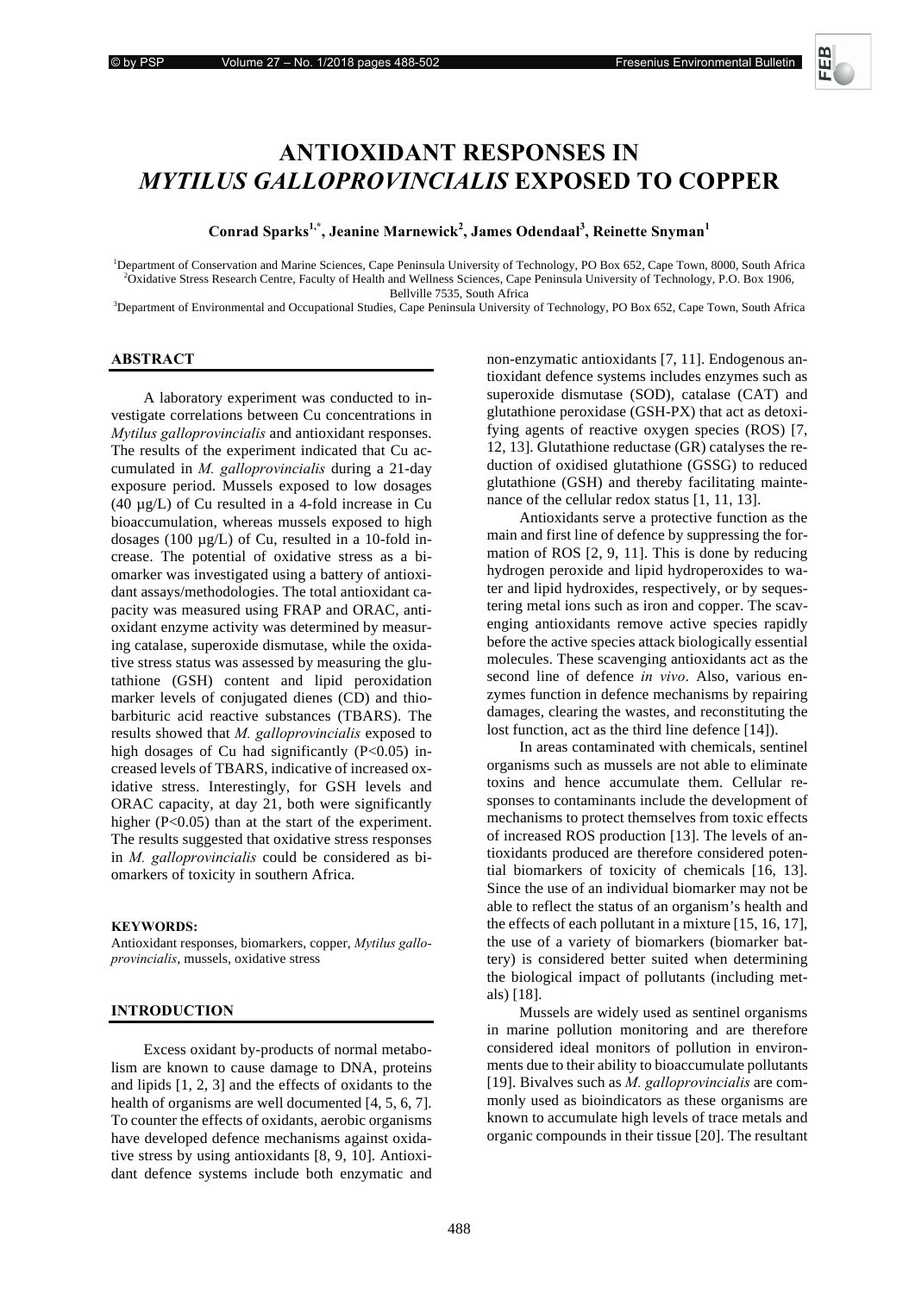# **ANTIOXIDANT RESPONSES IN** *MYTILUS GALLOPROVINCIALIS EXPOSED TO COPPER*

# Conrad Sparks<sup>1,\*</sup>, Jeanine Marnewick<sup>2</sup>, James Odendaal<sup>3</sup>, Reinette Snyman<sup>1</sup>

<sup>1</sup>Department of Conservation and Marine Sciences, Cape Peninsula University of Technology, PO Box 652, Cape Town, 8000, South Africa <sup>2</sup>Oxidative Stress Because Capatity of Haglib and Wallaces Sciences, Cape Depinsula Uni <sup>2</sup>Oxidative Stress Research Centre, Faculty of Health and Wellness Sciences, Cape Peninsula University of Technology, P.O. Box 1906,

Bellville 7535, South Africa<br><sup>3</sup>Department of Environmental and Occupational Studies, Cape Peninsula University of Technology, PO Box 652, Cape Town, South Africa

# **ABSTRACT**

A laboratory experiment was conducted to investigate correlations between Cu concentrations in *Mytilus galloprovincialis* and antioxidant responses. The results of the experiment indicated that Cu accumulated in *M. galloprovincialis* during a 21-day exposure period. Mussels exposed to low dosages (40 µg/L) of Cu resulted in a 4-fold increase in Cu bioaccumulation, whereas mussels exposed to high dosages (100 µg/L) of Cu, resulted in a 10-fold increase. The potential of oxidative stress as a biomarker was investigated using a battery of antioxidant assays/methodologies. The total antioxidant capacity was measured using FRAP and ORAC, antioxidant enzyme activity was determined by measuring catalase, superoxide dismutase, while the oxidative stress status was assessed by measuring the glutathione (GSH) content and lipid peroxidation marker levels of conjugated dienes (CD) and thiobarbituric acid reactive substances (TBARS). The results showed that *M*. galloprovincialis exposed to high dosages of Cu had significantly  $(P<0.05)$  increased levels of TBARS, indicative of increased oxidative stress. Interestingly, for GSH levels and ORAC capacity, at day 21, both were significantly higher (P<0.05) than at the start of the experiment. The results suggested that oxidative stress responses in *M. galloprovincialis* could be considered as biomarkers of toxicity in southern Africa.

#### **KEYWORDS:**

Antioxidant responses, biomarkers, copper, *Mytilus galloprovincialis*, mussels, oxidative stress

#### **INTRODUCTION**

Excess oxidant by-products of normal metabolism are known to cause damage to DNA, proteins and lipids [1, 2, 3] and the effects of oxidants to the health of organisms are well documented [4, 5, 6, 7]. To counter the effects of oxidants, aerobic organisms have developed defence mechanisms against oxidative stress by using antioxidants [8, 9, 10]. Antioxidant defence systems include both enzymatic and non-enzymatic antioxidants [7, 11]. Endogenous antioxidant defence systems includes enzymes such as superoxide dismutase (SOD), catalase (CAT) and glutathione peroxidase (GSH-PX) that act as detoxifying agents of reactive oxygen species (ROS) [7, 12, 13]. Glutathione reductase (GR) catalyses the reduction of oxidised glutathione (GSSG) to reduced glutathione (GSH) and thereby facilitating maintenance of the cellular redox status [1, 11, 13].

Antioxidants serve a protective function as the main and first line of defence by suppressing the formation of ROS [2, 9, 11]. This is done by reducing hydrogen peroxide and lipid hydroperoxides to water and lipid hydroxides, respectively, or by sequestering metal ions such as iron and copper. The scavenging antioxidants remove active species rapidly before the active species attack biologically essential molecules. These scavenging antioxidants act as the second line of defence *in vivo*. Also, various enzymes function in defence mechanisms by repairing damages, clearing the wastes, and reconstituting the lost function, act as the third line defence [14]).

In areas contaminated with chemicals, sentinel organisms such as mussels are not able to eliminate toxins and hence accumulate them. Cellular responses to contaminants include the development of mechanisms to protect themselves from toxic effects of increased ROS production [13]. The levels of antioxidants produced are therefore considered potential biomarkers of toxicity of chemicals [16, 13]. Since the use of an individual biomarker may not be able to reflect the status of an organism's health and the effects of each pollutant in a mixture [15, 16, 17], the use of a variety of biomarkers (biomarker battery) is considered better suited when determining the biological impact of pollutants (including metals) [18].

Mussels are widely used as sentinel organisms in marine pollution monitoring and are therefore considered ideal monitors of pollution in environments due to their ability to bioaccumulate pollutants [19]. Bivalves such as *M. galloprovincialis* are commonly used as bioindicators as these organisms are known to accumulate high levels of trace metals and organic compounds in their tissue [20]. The resultant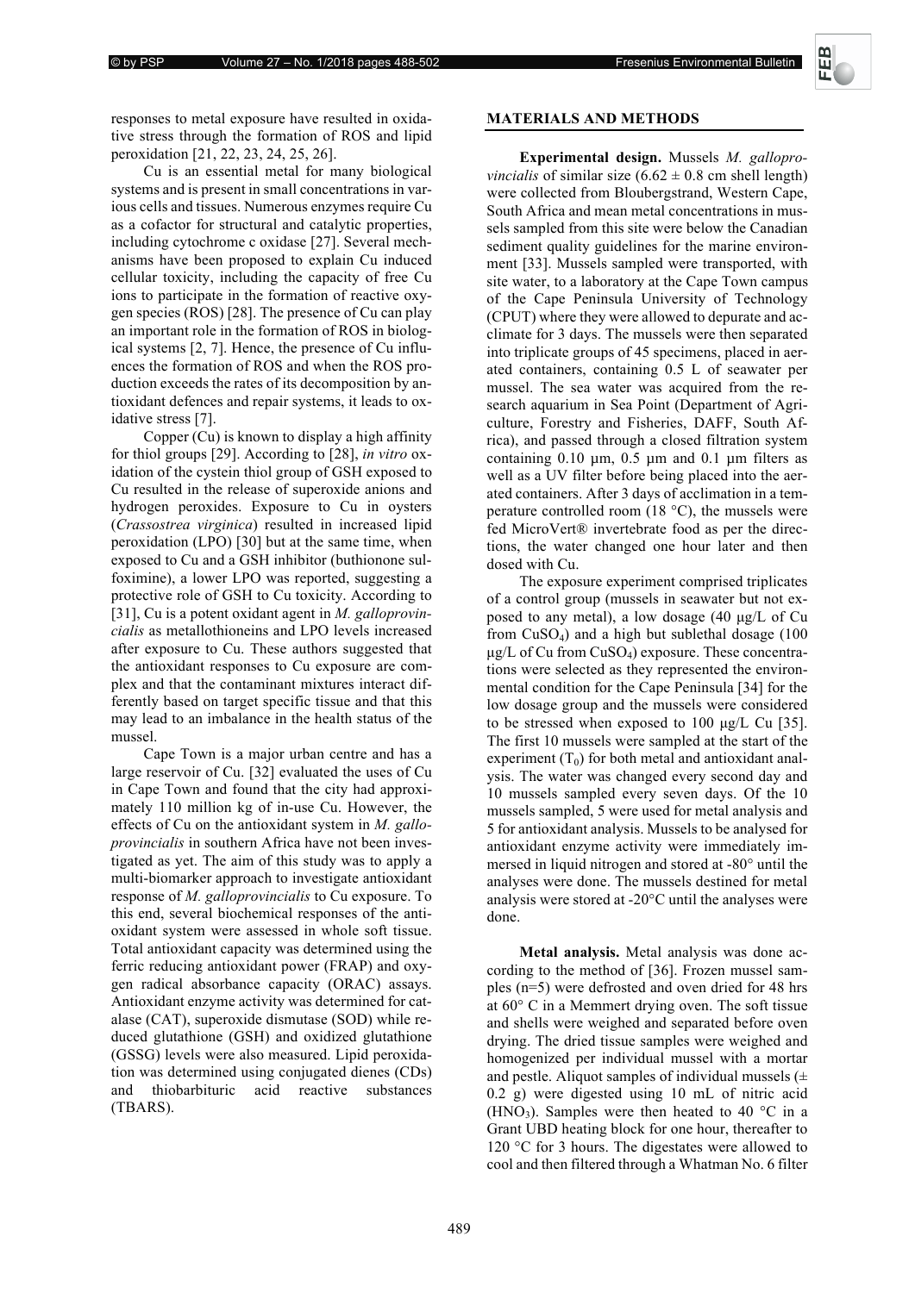responses to metal exposure have resulted in oxidative stress through the formation of ROS and lipid peroxidation [21, 22, 23, 24, 25, 26].

Cu is an essential metal for many biological systems and is present in small concentrations in various cells and tissues. Numerous enzymes require Cu as a cofactor for structural and catalytic properties, including cytochrome c oxidase [27]. Several mechanisms have been proposed to explain Cu induced cellular toxicity, including the capacity of free Cu ions to participate in the formation of reactive oxygen species (ROS) [28]. The presence of Cu can play an important role in the formation of ROS in biological systems [2, 7]. Hence, the presence of Cu influences the formation of ROS and when the ROS production exceeds the rates of its decomposition by antioxidant defences and repair systems, it leads to oxidative stress [7].

Copper (Cu) is known to display a high affinity for thiol groups [29]. According to [28], *in vitro*  $\alpha$ idation of the cystein thiol group of GSH exposed to Cu resulted in the release of superoxide anions and hydrogen peroxides. Exposure to Cu in oysters (*Crassostrea virginica*) resulted in increased lipid peroxidation (LPO) [30] but at the same time, when exposed to Cu and a GSH inhibitor (buthionone sulfoximine), a lower LPO was reported, suggesting a protective role of GSH to Cu toxicity. According to [31], Cu is a potent oxidant agent in *M. galloprovin*cialis as metallothioneins and LPO levels increased after exposure to Cu. These authors suggested that the antioxidant responses to Cu exposure are complex and that the contaminant mixtures interact differently based on target specific tissue and that this may lead to an imbalance in the health status of the mussel.

Cape Town is a major urban centre and has a large reservoir of Cu. [32] evaluated the uses of Cu in Cape Town and found that the city had approximately 110 million kg of in-use Cu. However, the effects of Cu on the antioxidant system in *M. galloprovincialis* in southern Africa have not been investigated as yet. The aim of this study was to apply a multi-biomarker approach to investigate antioxidant response of *M. galloprovincialis* to Cu exposure. To this end, several biochemical responses of the antioxidant system were assessed in whole soft tissue. Total antioxidant capacity was determined using the ferric reducing antioxidant power (FRAP) and oxygen radical absorbance capacity (ORAC) assays. Antioxidant enzyme activity was determined for catalase (CAT), superoxide dismutase (SOD) while reduced glutathione (GSH) and oxidized glutathione (GSSG) levels were also measured. Lipid peroxidation was determined using conjugated dienes (CDs) and thiobarbituric acid reactive substances (TBARS).

# **MATERIALS AND METHODS**

Experimental design. Mussels *M. galloprovincialis* of similar size  $(6.62 \pm 0.8 \text{ cm shell length})$ were collected from Bloubergstrand, Western Cape, South Africa and mean metal concentrations in mussels sampled from this site were below the Canadian sediment quality guidelines for the marine environment [33]. Mussels sampled were transported, with site water, to a laboratory at the Cape Town campus of the Cape Peninsula University of Technology (CPUT) where they were allowed to depurate and acclimate for 3 days. The mussels were then separated into triplicate groups of 45 specimens, placed in aerated containers, containing 0.5 L of seawater per mussel. The sea water was acquired from the research aquarium in Sea Point (Department of Agriculture, Forestry and Fisheries, DAFF, South Africa), and passed through a closed filtration system containing  $0.10 \mu m$ ,  $0.5 \mu m$  and  $0.1 \mu m$  filters as well as a UV filter before being placed into the aerated containers. After 3 days of acclimation in a temperature controlled room  $(18 \degree C)$ , the mussels were fed MicroVert® invertebrate food as per the directions, the water changed one hour later and then dosed with Cu.

The exposure experiment comprised triplicates of a control group (mussels in seawater but not exposed to any metal), a low dosage (40 μg/L of Cu from CuSO4) and a high but sublethal dosage (100  $\mu$ g/L of Cu from CuSO<sub>4</sub>) exposure. These concentrations were selected as they represented the environmental condition for the Cape Peninsula [34] for the low dosage group and the mussels were considered to be stressed when exposed to 100 μg/L Cu [35]. The first 10 mussels were sampled at the start of the experiment  $(T_0)$  for both metal and antioxidant analysis. The water was changed every second day and 10 mussels sampled every seven days. Of the 10 mussels sampled, 5 were used for metal analysis and 5 for antioxidant analysis. Mussels to be analysed for antioxidant enzyme activity were immediately immersed in liquid nitrogen and stored at -80° until the analyses were done. The mussels destined for metal analysis were stored at -20°C until the analyses were done.

**Metal analysis.** Metal analysis was done according to the method of [36]. Frozen mussel samples (n=5) were defrosted and oven dried for 48 hrs at 60° C in a Memmert drying oven. The soft tissue and shells were weighed and separated before oven drying. The dried tissue samples were weighed and homogenized per individual mussel with a mortar and pestle. Aliquot samples of individual mussels  $(±$ 0.2 g) were digested using 10 mL of nitric acid (HNO<sub>3</sub>). Samples were then heated to 40  $^{\circ}$ C in a Grant UBD heating block for one hour, thereafter to 120 °C for 3 hours. The digestates were allowed to cool and then filtered through a Whatman No. 6 filter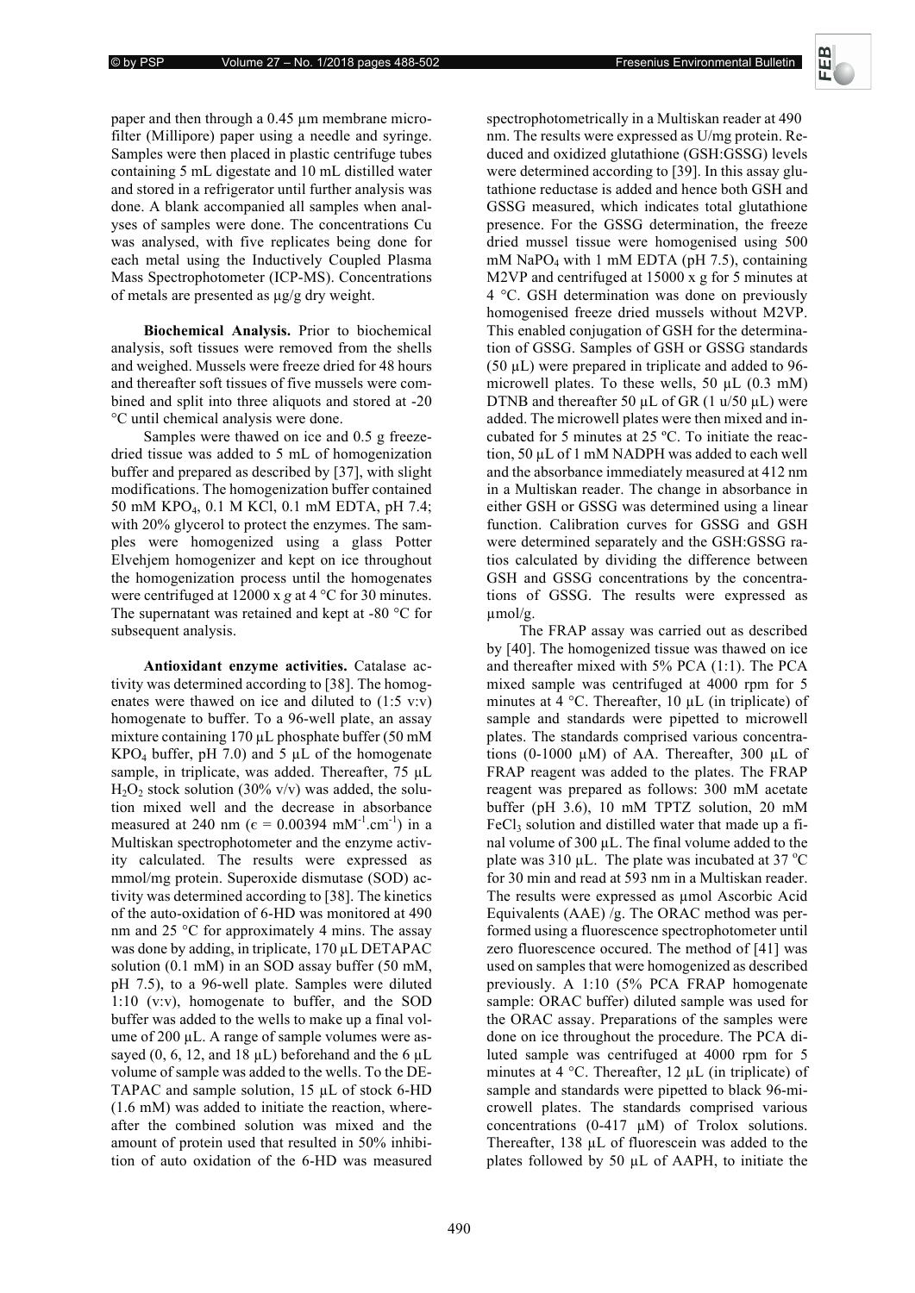paper and then through a 0.45 µm membrane microfilter (Millipore) paper using a needle and syringe. Samples were then placed in plastic centrifuge tubes containing 5 mL digestate and 10 mL distilled water and stored in a refrigerator until further analysis was done. A blank accompanied all samples when analyses of samples were done. The concentrations Cu was analysed, with five replicates being done for each metal using the Inductively Coupled Plasma Mass Spectrophotometer (ICP-MS). Concentrations of metals are presented as μg/g dry weight.

**Biochemical Analysis.** Prior to biochemical analysis, soft tissues were removed from the shells and weighed. Mussels were freeze dried for 48 hours and thereafter soft tissues of five mussels were combined and split into three aliquots and stored at -20 °C until chemical analysis were done.

Samples were thawed on ice and 0.5 g freezedried tissue was added to 5 mL of homogenization buffer and prepared as described by [37], with slight modifications. The homogenization buffer contained 50 mM KPO4, 0.1 M KCl, 0.1 mM EDTA, pH 7.4; with 20% glycerol to protect the enzymes. The samples were homogenized using a glass Potter Elvehjem homogenizer and kept on ice throughout the homogenization process until the homogenates were centrifuged at 12000 x  $g$  at 4 °C for 30 minutes. The supernatant was retained and kept at -80 °C for subsequent analysis.

Antioxidant enzyme activities. Catalase activity was determined according to [38]. The homogenates were thawed on ice and diluted to (1:5 v:v) homogenate to buffer. To a 96-well plate, an assay mixture containing 170 µL phosphate buffer (50 mM  $KPO<sub>4</sub> buffer, pH 7.0)$  and 5 µL of the homogenate sample, in triplicate, was added. Thereafter, 75 µL  $H<sub>2</sub>O<sub>2</sub>$  stock solution (30% v/v) was added, the solution mixed well and the decrease in absorbance measured at 240 nm ( $\epsilon = 0.00394$  mM<sup>-1</sup>.cm<sup>-1</sup>) in a Multiskan spectrophotometer and the enzyme activity calculated. The results were expressed as mmol/mg protein. Superoxide dismutase (SOD) activity was determined according to [38]. The kinetics of the auto-oxidation of 6-HD was monitored at 490 nm and 25 °C for approximately 4 mins. The assay was done by adding, in triplicate, 170 µL DETAPAC solution (0.1 mM) in an SOD assay buffer (50 mM, pH 7.5), to a 96-well plate. Samples were diluted 1:10 (v:v), homogenate to buffer, and the SOD buffer was added to the wells to make up a final volume of 200 µL. A range of sample volumes were assayed (0, 6, 12, and 18  $\mu$ L) beforehand and the 6  $\mu$ L volume of sample was added to the wells. To the DE-TAPAC and sample solution, 15 µL of stock 6-HD (1.6 mM) was added to initiate the reaction, whereafter the combined solution was mixed and the amount of protein used that resulted in 50% inhibition of auto oxidation of the 6-HD was measured

spectrophotometrically in a Multiskan reader at 490 nm. The results were expressed as U/mg protein. Reduced and oxidized glutathione (GSH:GSSG) levels were determined according to [39]. In this assay glutathione reductase is added and hence both GSH and GSSG measured, which indicates total glutathione presence. For the GSSG determination, the freeze dried mussel tissue were homogenised using 500 mM NaPO4 with 1 mM EDTA (pH 7.5), containing M2VP and centrifuged at 15000 x g for 5 minutes at 4 °C. GSH determination was done on previously homogenised freeze dried mussels without M2VP. This enabled conjugation of GSH for the determination of GSSG. Samples of GSH or GSSG standards (50 µL) were prepared in triplicate and added to 96 microwell plates. To these wells, 50 µL (0.3 mM) DTNB and thereafter 50  $\mu$ L of GR (1  $\mu$ /50  $\mu$ L) were added. The microwell plates were then mixed and incubated for 5 minutes at 25 ºC. To initiate the reaction, 50 µL of 1 mM NADPH was added to each well and the absorbance immediately measured at 412 nm in a Multiskan reader. The change in absorbance in either GSH or GSSG was determined using a linear function. Calibration curves for GSSG and GSH were determined separately and the GSH:GSSG ratios calculated by dividing the difference between GSH and GSSG concentrations by the concentrations of GSSG. The results were expressed as µmol/g.

The FRAP assay was carried out as described by [40]. The homogenized tissue was thawed on ice and thereafter mixed with 5% PCA (1:1). The PCA mixed sample was centrifuged at 4000 rpm for 5 minutes at  $4^{\circ}$ C. Thereafter,  $10 \mu L$  (in triplicate) of sample and standards were pipetted to microwell plates. The standards comprised various concentrations (0-1000 µM) of AA. Thereafter, 300 µL of FRAP reagent was added to the plates. The FRAP reagent was prepared as follows: 300 mM acetate buffer (pH 3.6), 10 mM TPTZ solution, 20 mM  $FeCl<sub>3</sub>$  solution and distilled water that made up a final volume of 300  $\mu$ L. The final volume added to the plate was  $310 \mu L$ . The plate was incubated at  $37 \text{ °C}$ for 30 min and read at 593 nm in a Multiskan reader. The results were expressed as umol Ascorbic Acid Equivalents (AAE) /g. The ORAC method was performed using a fluorescence spectrophotometer until zero fluorescence occured. The method of [41] was used on samples that were homogenized as described previously. A 1:10 (5% PCA FRAP homogenate sample: ORAC buffer) diluted sample was used for the ORAC assay. Preparations of the samples were done on ice throughout the procedure. The PCA diluted sample was centrifuged at 4000 rpm for 5 minutes at 4  $^{\circ}$ C. Thereafter, 12 µL (in triplicate) of sample and standards were pipetted to black 96-microwell plates. The standards comprised various concentrations  $(0-417 \mu M)$  of Trolox solutions. Thereafter, 138 µL of fluorescein was added to the plates followed by 50 µL of AAPH, to initiate the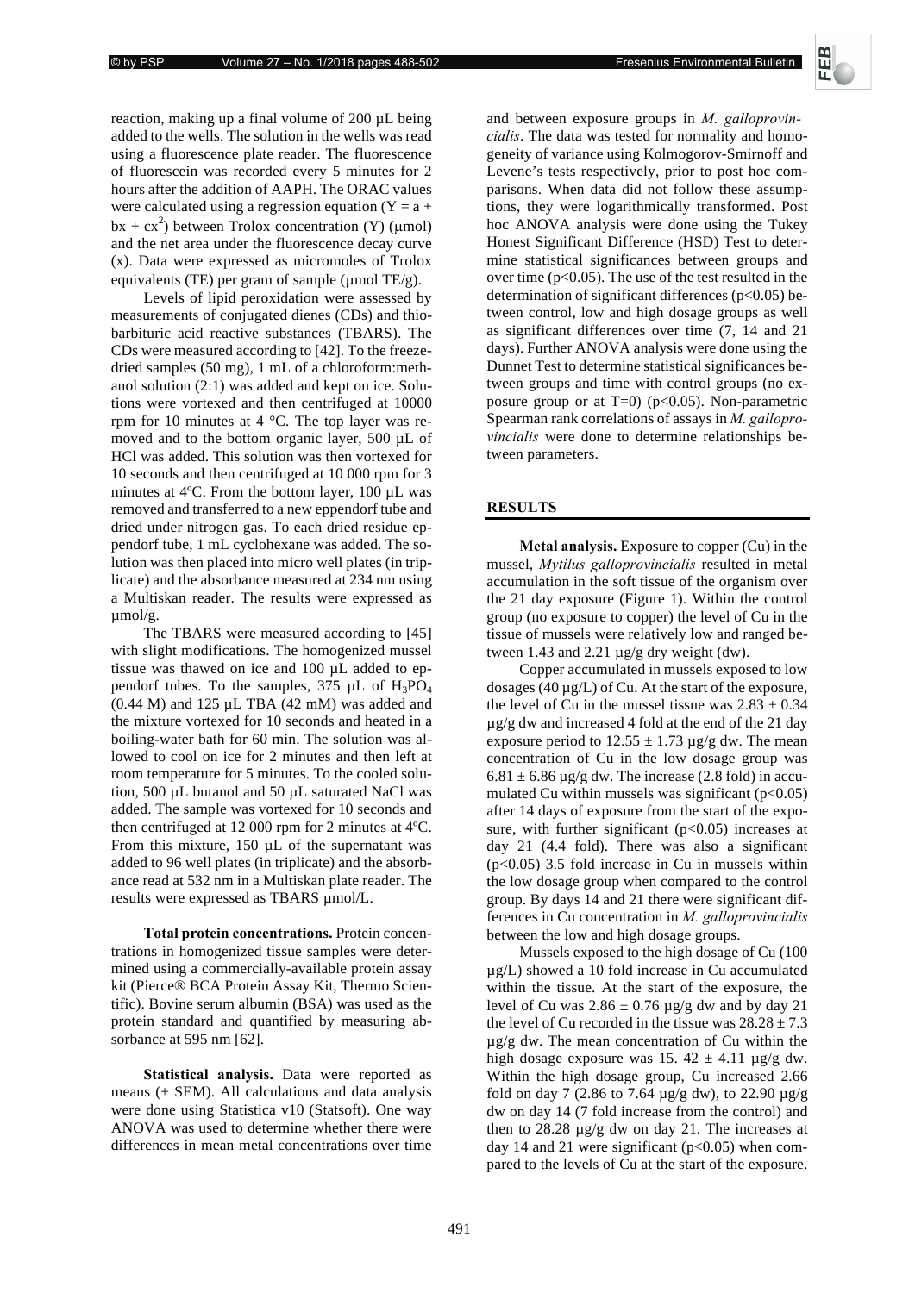**Fresenius Environmental Bulletin** 



reaction, making up a final volume of 200 µL being added to the wells. The solution in the wells was read using a fluorescence plate reader. The fluorescence of fluorescein was recorded every 5 minutes for 2 hours after the addition of AAPH. The ORAC values were calculated using a regression equation  $(Y = a +$  $bx + cx^2$ ) between Trolox concentration (Y) (µmol) and the net area under the fluorescence decay curve (x). Data were expressed as micromoles of Trolox equivalents (TE) per gram of sample (μmol TE/g).

Levels of lipid peroxidation were assessed by measurements of conjugated dienes (CDs) and thiobarbituric acid reactive substances (TBARS). The CDs were measured according to [42]. To the freezedried samples (50 mg), 1 mL of a chloroform:methanol solution (2:1) was added and kept on ice. Solutions were vortexed and then centrifuged at 10000 rpm for 10 minutes at 4 °C. The top layer was removed and to the bottom organic layer, 500 µL of HCl was added. This solution was then vortexed for 10 seconds and then centrifuged at 10 000 rpm for 3 minutes at 4ºC. From the bottom layer, 100 µL was removed and transferred to a new eppendorf tube and dried under nitrogen gas. To each dried residue eppendorf tube, 1 mL cyclohexane was added. The solution was then placed into micro well plates (in triplicate) and the absorbance measured at 234 nm using a Multiskan reader. The results were expressed as  $\mu$ mol/g.

The TBARS were measured according to [45] with slight modifications. The homogenized mussel tissue was thawed on ice and 100 µL added to eppendorf tubes. To the samples,  $375 \mu L$  of  $H_3PO_4$ (0.44 M) and 125 µL TBA (42 mM) was added and the mixture vortexed for 10 seconds and heated in a boiling-water bath for 60 min. The solution was allowed to cool on ice for 2 minutes and then left at room temperature for 5 minutes. To the cooled solution, 500 µL butanol and 50 µL saturated NaCl was added. The sample was vortexed for 10 seconds and then centrifuged at 12 000 rpm for 2 minutes at 4ºC. From this mixture, 150  $\mu$ L of the supernatant was added to 96 well plates (in triplicate) and the absorbance read at 532 nm in a Multiskan plate reader. The results were expressed as TBARS µmol/L.

**Total protein concentrations.** Protein concentrations in homogenized tissue samples were determined using a commercially-available protein assay kit (Pierce® BCA Protein Assay Kit, Thermo Scientific). Bovine serum albumin (BSA) was used as the protein standard and quantified by measuring absorbance at 595 nm [62].

Statistical analysis. Data were reported as means  $(\pm$  SEM). All calculations and data analysis were done using Statistica v10 (Statsoft). One way ANOVA was used to determine whether there were differences in mean metal concentrations over time

and between exposure groups in *M. galloprovin*-. The data was tested for normality and homogeneity of variance using Kolmogorov-Smirnoff and Levene's tests respectively, prior to post hoc comparisons. When data did not follow these assumptions, they were logarithmically transformed. Post hoc ANOVA analysis were done using the Tukey Honest Significant Difference (HSD) Test to determine statistical significances between groups and over time ( $p<0.05$ ). The use of the test resulted in the determination of significant differences ( $p<0.05$ ) between control, low and high dosage groups as well as significant differences over time (7, 14 and 21 days). Further ANOVA analysis were done using the Dunnet Test to determine statistical significances between groups and time with control groups (no exposure group or at  $T=0$ ) ( $p<0.05$ ). Non-parametric Spearman rank correlations of assays in *M. galloprovincialis* were done to determine relationships between parameters.

### **RESULTS**

**Metal analysis.** Exposure to copper (Cu) in the mussel, Mytilus galloprovincialis resulted in metal accumulation in the soft tissue of the organism over the 21 day exposure (Figure 1). Within the control group (no exposure to copper) the level of Cu in the tissue of mussels were relatively low and ranged between 1.43 and 2.21 µg/g dry weight (dw).

Copper accumulated in mussels exposed to low dosages (40 µg/L) of Cu. At the start of the exposure, the level of Cu in the mussel tissue was  $2.83 \pm 0.34$ µg/g dw and increased 4 fold at the end of the 21 day exposure period to  $12.55 \pm 1.73 \,\mu$ g/g dw. The mean concentration of Cu in the low dosage group was  $6.81 \pm 6.86$  µg/g dw. The increase (2.8 fold) in accumulated Cu within mussels was significant  $(p<0.05)$ after 14 days of exposure from the start of the exposure, with further significant  $(p<0.05)$  increases at day 21 (4.4 fold). There was also a significant  $(p<0.05)$  3.5 fold increase in Cu in mussels within the low dosage group when compared to the control group. By days 14 and 21 there were significant differences in Cu concentration in *M. galloprovincialis* between the low and high dosage groups.

Mussels exposed to the high dosage of Cu (100 µg/L) showed a 10 fold increase in Cu accumulated within the tissue. At the start of the exposure, the level of Cu was  $2.86 \pm 0.76$  µg/g dw and by day 21 the level of Cu recorded in the tissue was  $28.28 \pm 7.3$ µg/g dw. The mean concentration of Cu within the high dosage exposure was 15.  $42 \pm 4.11$  µg/g dw. Within the high dosage group, Cu increased 2.66 fold on day 7 (2.86 to 7.64  $\mu$ g/g dw), to 22.90  $\mu$ g/g dw on day 14 (7 fold increase from the control) and then to  $28.28 \mu g/g$  dw on day 21. The increases at day 14 and 21 were significant  $(p<0.05)$  when compared to the levels of Cu at the start of the exposure.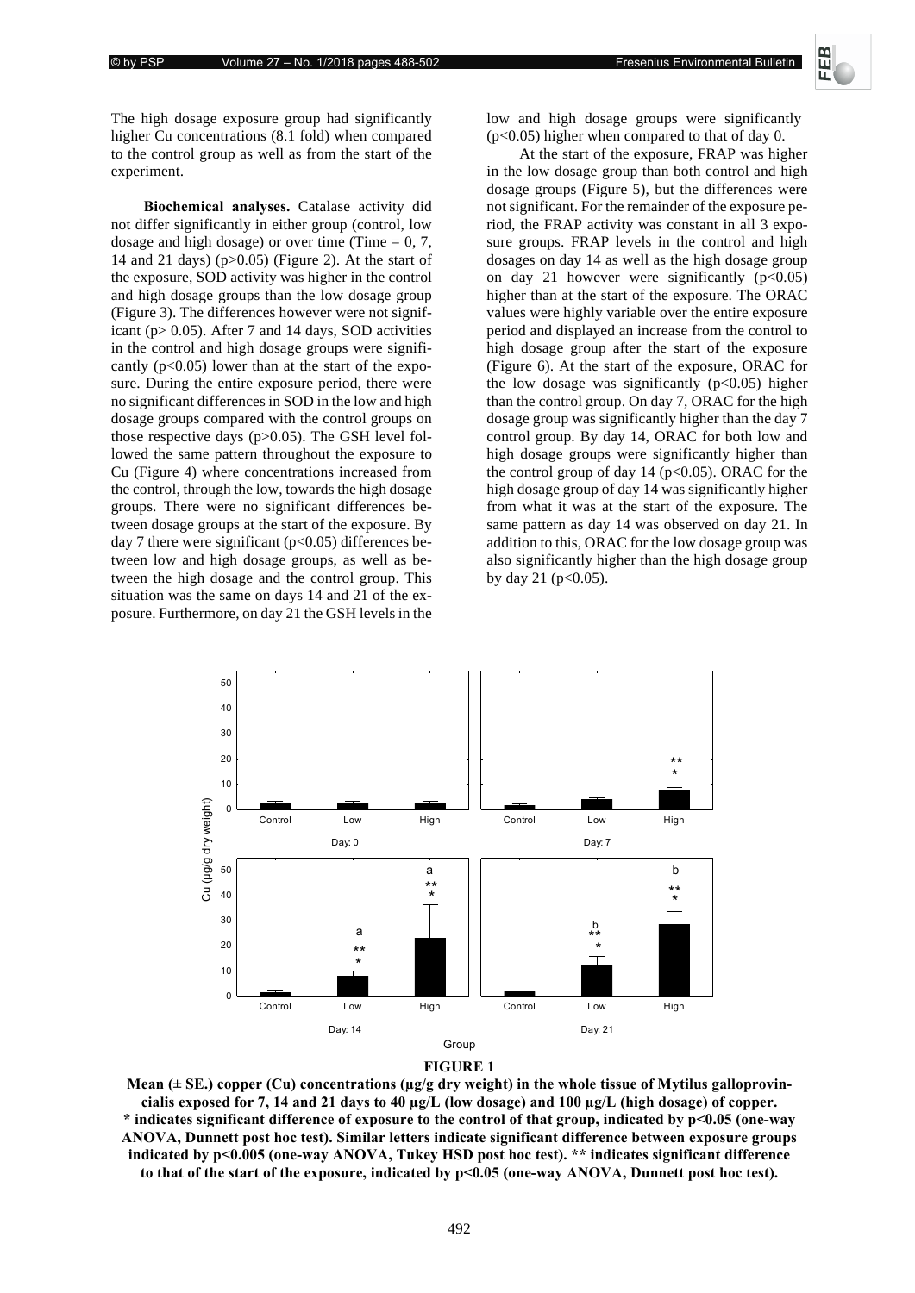

The high dosage exposure group had significantly higher Cu concentrations (8.1 fold) when compared to the control group as well as from the start of the experiment.

**Biochemical analyses.** Catalase activity did not differ significantly in either group (control, low dosage and high dosage) or over time (Time  $= 0, 7$ , 14 and 21 days) (p>0.05) (Figure 2). At the start of the exposure, SOD activity was higher in the control and high dosage groups than the low dosage group (Figure 3). The differences however were not significant ( $p > 0.05$ ). After 7 and 14 days, SOD activities in the control and high dosage groups were significantly  $(p<0.05)$  lower than at the start of the exposure. During the entire exposure period, there were no significant differences in SOD in the low and high dosage groups compared with the control groups on those respective days  $(p>0.05)$ . The GSH level followed the same pattern throughout the exposure to Cu (Figure 4) where concentrations increased from the control, through the low, towards the high dosage groups. There were no significant differences between dosage groups at the start of the exposure. By day 7 there were significant ( $p<0.05$ ) differences between low and high dosage groups, as well as between the high dosage and the control group. This situation was the same on days 14 and 21 of the exposure. Furthermore, on day 21 the GSH levels in the

low and high dosage groups were significantly (p<0.05) higher when compared to that of day 0.

At the start of the exposure, FRAP was higher in the low dosage group than both control and high dosage groups (Figure 5), but the differences were not significant. For the remainder of the exposure period, the FRAP activity was constant in all 3 exposure groups. FRAP levels in the control and high dosages on day 14 as well as the high dosage group on day 21 however were significantly  $(p<0.05)$ higher than at the start of the exposure. The ORAC values were highly variable over the entire exposure period and displayed an increase from the control to high dosage group after the start of the exposure (Figure 6). At the start of the exposure, ORAC for the low dosage was significantly  $(p<0.05)$  higher than the control group. On day 7, ORAC for the high dosage group was significantly higher than the day 7 control group. By day 14, ORAC for both low and high dosage groups were significantly higher than the control group of day  $14$  ( $p<0.05$ ). ORAC for the high dosage group of day 14 was significantly higher from what it was at the start of the exposure. The same pattern as day 14 was observed on day 21. In addition to this, ORAC for the low dosage group was also significantly higher than the high dosage group by day 21 ( $p<0.05$ ).





Mean (± SE.) copper (Cu) concentrations (µg/g dry weight) in the whole tissue of Mytilus galloprovincialis exposed for 7, 14 and 21 days to 40  $\mu$ g/L (low dosage) and 100  $\mu$ g/L (high dosage) of copper. \* indicates significant difference of exposure to the control of that group, indicated by p<0.05 (one-way ANOVA, Dunnett post hoc test). Similar letters indicate significant difference between exposure groups indicated by p<0.005 (one-way ANOVA, Tukey HSD post hoc test). \*\* indicates significant difference to that of the start of the exposure, indicated by p<0.05 (one-way ANOVA, Dunnett post hoc test).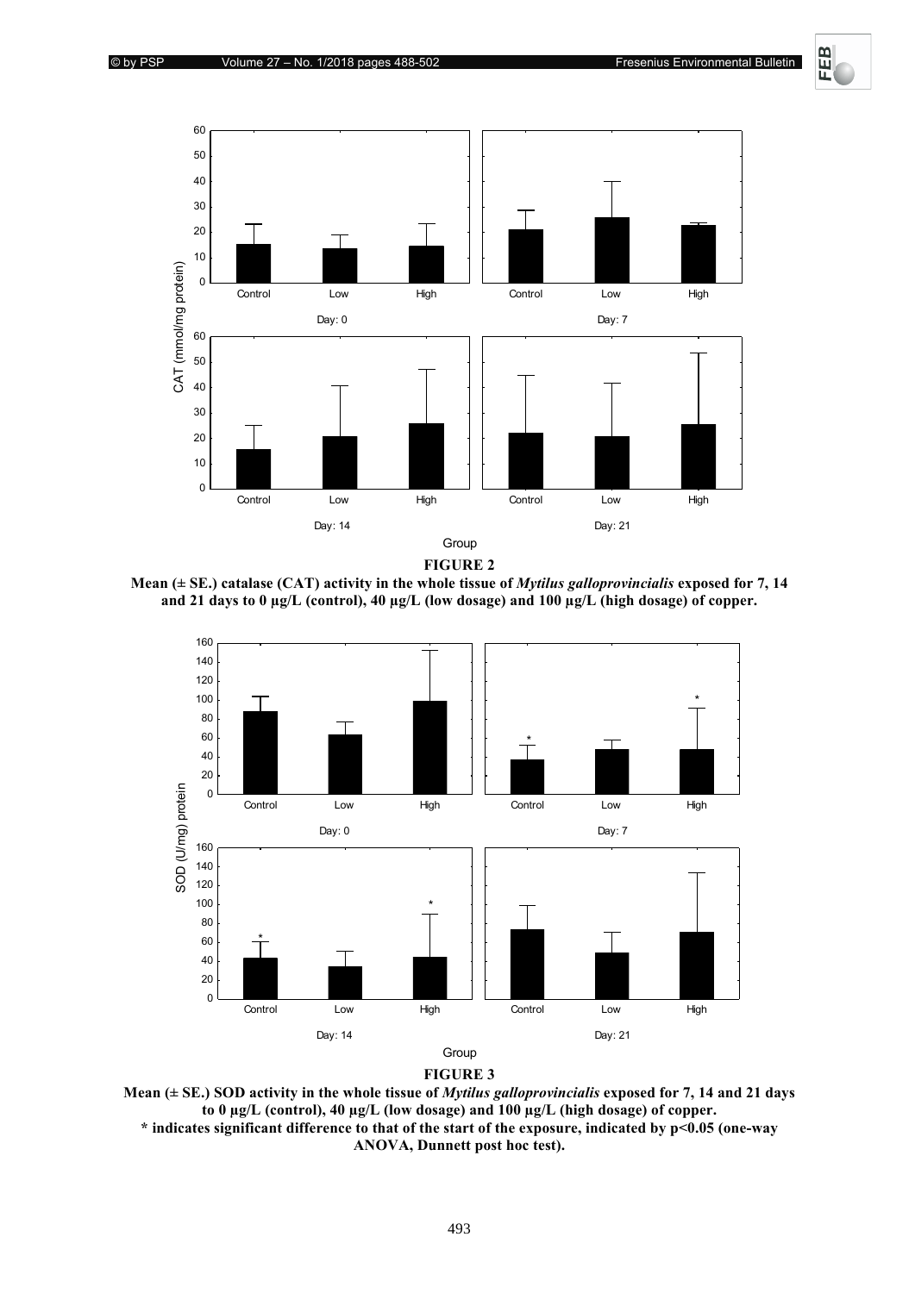Fresenius Environmental Bulletin

**FEB** 



**FIGURE 2** 

Mean  $(\pm$  SE.) catalase (CAT) activity in the whole tissue of *Mytilus galloprovincialis* exposed for 7, 14 and 21 days to 0 µg/L (control), 40 µg/L (low dosage) and 100 µg/L (high dosage) of copper.





Mean  $(\pm$  SE.) SOD activity in the whole tissue of *Mytilus galloprovincialis* exposed for 7, 14 and 21 days to 0 μg/L (control), 40 μg/L (low dosage) and 100 μg/L (high dosage) of copper. \* indicates significant difference to that of the start of the exposure, indicated by p<0.05 (one-way

ANOVA, Dunnett post hoc test).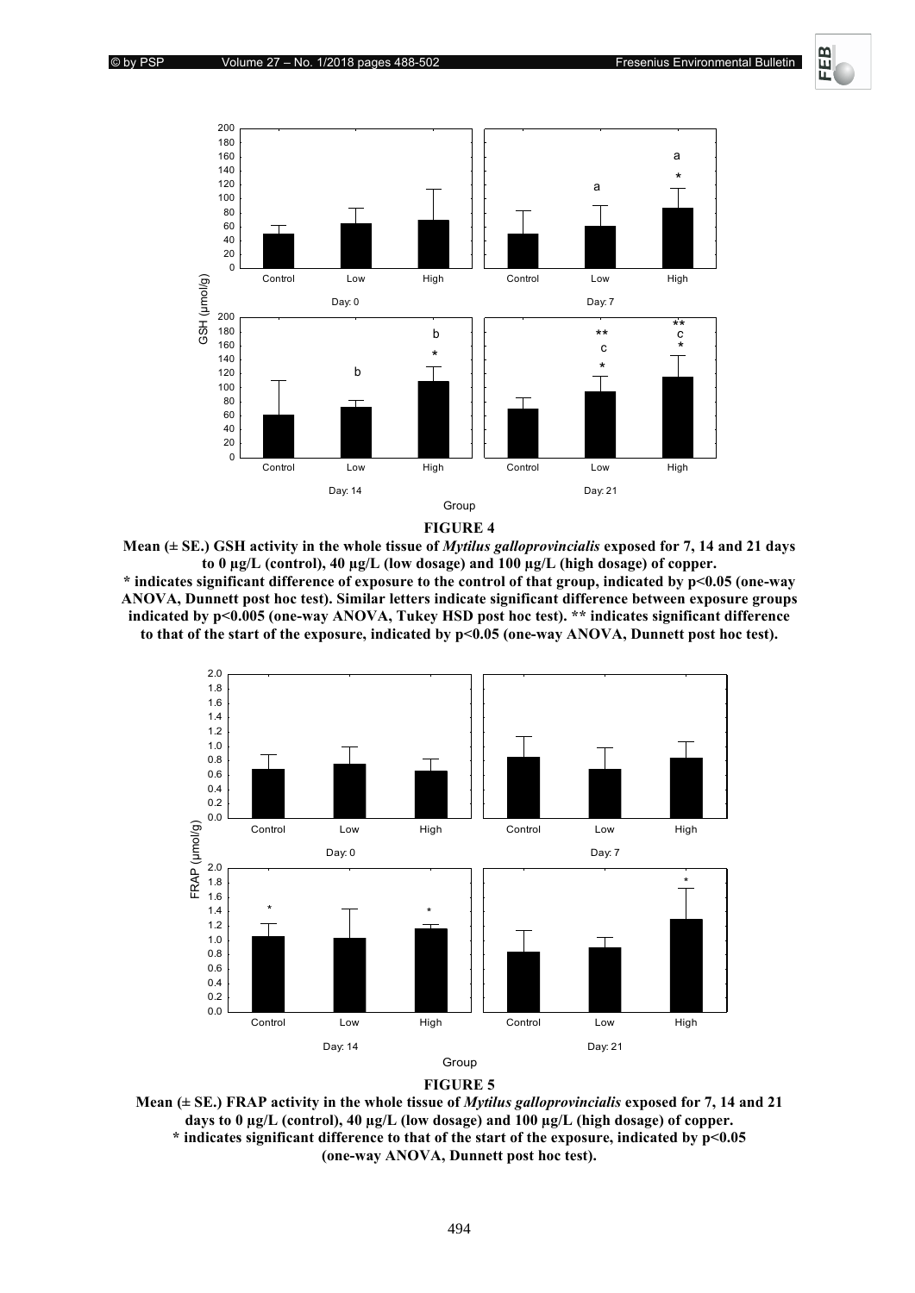띥



**FIGURE 4** 

Mean ( $\pm$  SE.) GSH activity in the whole tissue of *Mytilus galloprovincialis* exposed for 7, 14 and 21 days to 0 ug/L (control), 40 ug/L (low dosage) and 100 ug/L (high dosage) of copper. \* indicates significant difference of exposure to the control of that group, indicated by p<0.05 (one-way ANOVA. Dunnett post hoc test). Similar letters indicate significant difference between exposure groups indicated by p<0.005 (one-way ANOVA, Tukey HSD post hoc test). \*\* indicates significant difference to that of the start of the exposure, indicated by p<0.05 (one-way ANOVA, Dunnett post hoc test).





Mean ( $\pm$  SE.) FRAP activity in the whole tissue of *Mytilus galloprovincialis* exposed for 7, 14 and 21 days to  $0 \mu g/L$  (control), 40  $\mu g/L$  (low dosage) and 100  $\mu g/L$  (high dosage) of copper. \* indicates significant difference to that of the start of the exposure, indicated by p<0.05 (one-way ANOVA, Dunnett post hoc test).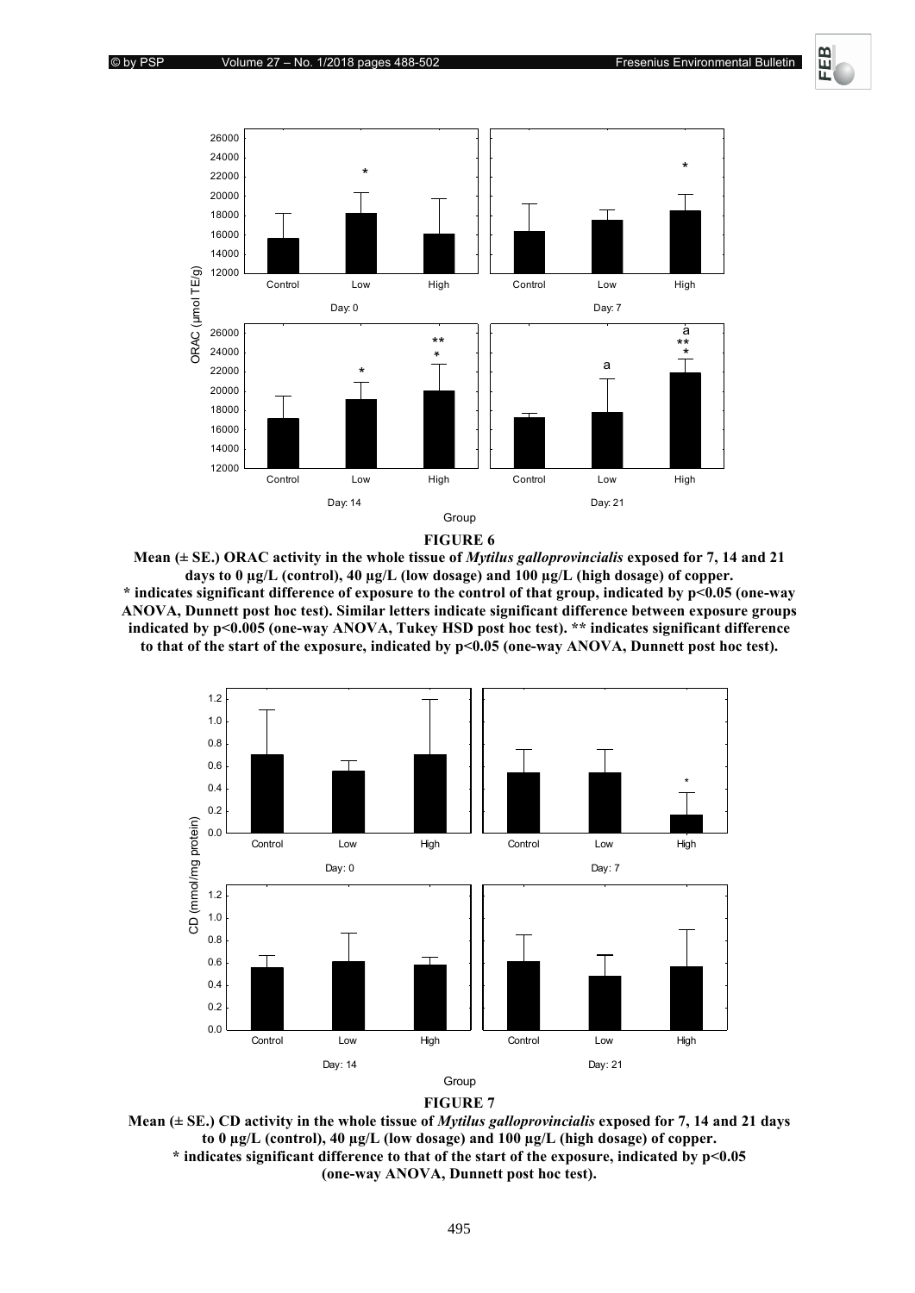巴



**FIGURE 6** 

Mean ( $\pm$  SE.) ORAC activity in the whole tissue of *Mytilus galloprovincialis* exposed for 7, 14 and 21 days to 0 µg/L (control), 40 µg/L (low dosage) and 100 µg/L (high dosage) of copper. \* indicates significant difference of exposure to the control of that group, indicated by p<0.05 (one-way ANOVA, Dunnett post hoc test). Similar letters indicate significant difference between exposure groups indicated by p<0.005 (one-way ANOVA, Tukey HSD post hoc test). \*\* indicates significant difference to that of the start of the exposure, indicated by p<0.05 (one-way ANOVA, Dunnett post hoc test).





Mean ( $\pm$  SE.) CD activity in the whole tissue of *Mytilus galloprovincialis* exposed for 7, 14 and 21 days to 0 μg/L (control), 40 μg/L (low dosage) and 100 μg/L (high dosage) of copper. \* indicates significant difference to that of the start of the exposure, indicated by p<0.05 (one-way ANOVA, Dunnett post hoc test).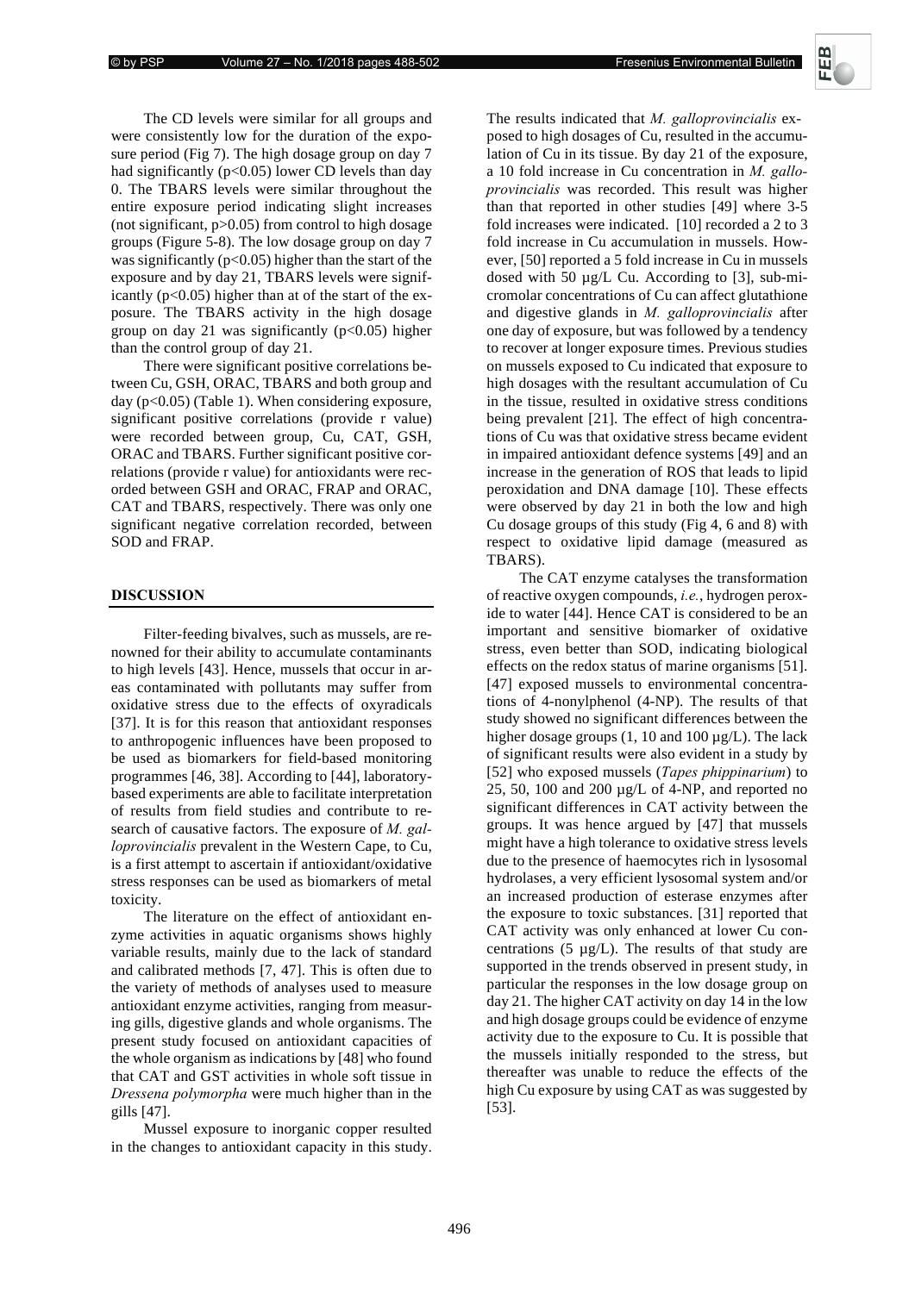The CD levels were similar for all groups and were consistently low for the duration of the exposure period (Fig 7). The high dosage group on day 7 had significantly ( $p<0.05$ ) lower CD levels than day 0. The TBARS levels were similar throughout the entire exposure period indicating slight increases (not significant,  $p > 0.05$ ) from control to high dosage groups (Figure 5-8). The low dosage group on day 7 was significantly ( $p<0.05$ ) higher than the start of the exposure and by day 21, TBARS levels were significantly  $(p<0.05)$  higher than at of the start of the exposure. The TBARS activity in the high dosage group on day 21 was significantly  $(p<0.05)$  higher than the control group of day 21.

There were significant positive correlations between Cu, GSH, ORAC, TBARS and both group and day  $(p<0.05)$  (Table 1). When considering exposure, significant positive correlations (provide r value) were recorded between group, Cu, CAT, GSH, ORAC and TBARS. Further significant positive correlations (provide r value) for antioxidants were recorded between GSH and ORAC, FRAP and ORAC, CAT and TBARS, respectively. There was only one significant negative correlation recorded, between SOD and FRAP.

# **DISCUSSION**

Filter-feeding bivalves, such as mussels, are renowned for their ability to accumulate contaminants to high levels [43]. Hence, mussels that occur in areas contaminated with pollutants may suffer from oxidative stress due to the effects of oxyradicals [37]. It is for this reason that antioxidant responses to anthropogenic influences have been proposed to be used as biomarkers for field-based monitoring programmes [46, 38]. According to [44], laboratorybased experiments are able to facilitate interpretation of results from field studies and contribute to research of causative factors. The exposure of *M*. gal*loprovincialis* prevalent in the Western Cape, to Cu, is a first attempt to ascertain if antioxidant/oxidative stress responses can be used as biomarkers of metal toxicity.

The literature on the effect of antioxidant enzyme activities in aquatic organisms shows highly variable results, mainly due to the lack of standard and calibrated methods [7, 47]. This is often due to the variety of methods of analyses used to measure antioxidant enzyme activities, ranging from measuring gills, digestive glands and whole organisms. The present study focused on antioxidant capacities of the whole organism as indications by [48] who found that CAT and GST activities in whole soft tissue in *Dressena polymorpha* were much higher than in the gills [47].

Mussel exposure to inorganic copper resulted in the changes to antioxidant capacity in this study.

The results indicated that *M*. galloprovincialis exposed to high dosages of Cu, resulted in the accumulation of Cu in its tissue. By day 21 of the exposure, a 10 fold increase in Cu concentration in *M. galloprovincialis* was recorded. This result was higher than that reported in other studies [49] where 3-5 fold increases were indicated. [10] recorded a 2 to 3 fold increase in Cu accumulation in mussels. However, [50] reported a 5 fold increase in Cu in mussels dosed with 50  $\mu$ g/L Cu. According to [3], sub-micromolar concentrations of Cu can affect glutathione and digestive glands in *M. galloprovincialis* after one day of exposure, but was followed by a tendency to recover at longer exposure times. Previous studies on mussels exposed to Cu indicated that exposure to high dosages with the resultant accumulation of Cu in the tissue, resulted in oxidative stress conditions being prevalent [21]. The effect of high concentrations of Cu was that oxidative stress became evident in impaired antioxidant defence systems [49] and an increase in the generation of ROS that leads to lipid peroxidation and DNA damage [10]. These effects were observed by day 21 in both the low and high Cu dosage groups of this study (Fig 4, 6 and 8) with respect to oxidative lipid damage (measured as TBARS).

The CAT enzyme catalyses the transformation of reactive oxygen compounds, *i.e.*, hydrogen peroxide to water [44]. Hence CAT is considered to be an important and sensitive biomarker of oxidative stress, even better than SOD, indicating biological effects on the redox status of marine organisms [51]. [47] exposed mussels to environmental concentrations of 4-nonylphenol (4-NP). The results of that study showed no significant differences between the higher dosage groups (1, 10 and 100  $\mu$ g/L). The lack of significant results were also evident in a study by [52] who exposed mussels (*Tapes phippinarium*) to 25, 50, 100 and 200 µg/L of 4-NP, and reported no significant differences in CAT activity between the groups. It was hence argued by [47] that mussels might have a high tolerance to oxidative stress levels due to the presence of haemocytes rich in lysosomal hydrolases, a very efficient lysosomal system and/or an increased production of esterase enzymes after the exposure to toxic substances. [31] reported that CAT activity was only enhanced at lower Cu concentrations  $(5 \mu g/L)$ . The results of that study are supported in the trends observed in present study, in particular the responses in the low dosage group on day 21. The higher CAT activity on day 14 in the low and high dosage groups could be evidence of enzyme activity due to the exposure to Cu. It is possible that the mussels initially responded to the stress, but thereafter was unable to reduce the effects of the high Cu exposure by using CAT as was suggested by [53].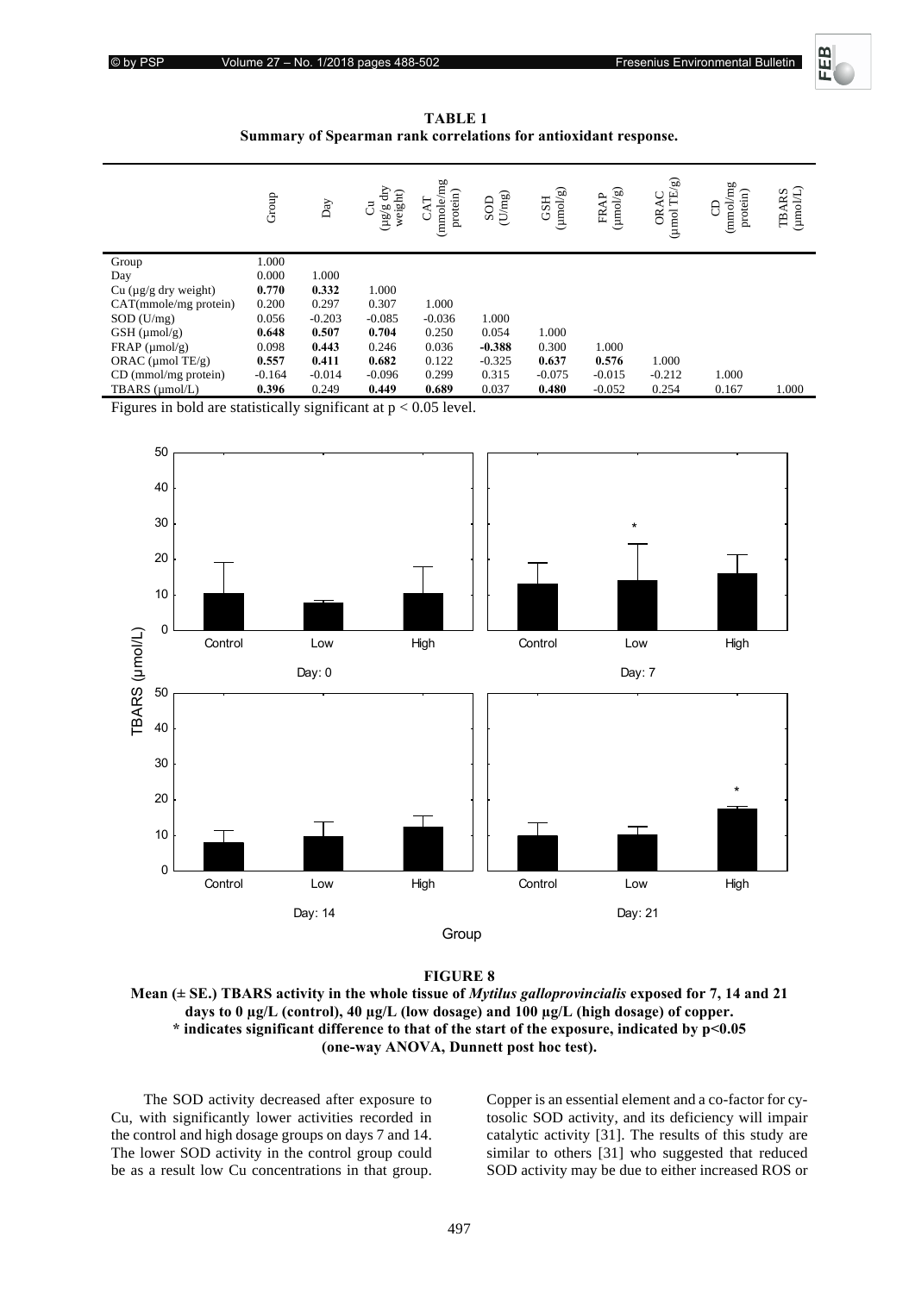

**TABLE 1** Summary of Spearman rank correlations for antioxidant response.

|                            | Group    | $_{\mathrm{Day}}$ | dry<br>weight)<br>්<br>60<br>/am | (mmole/mg<br>protein)<br>K<br>ن | $\left( \mathrm{U} / \mathrm{m} \mathrm{g} \right)$<br>SOD | (umol/g)<br><b>GSH</b> | $(mn\omega/g)$<br>FRAP | $\ensuremath{\mathsf{TE}}\xspace(\ensuremath{\mathsf{g}}\xspace)$<br>ORAC<br>(µmol | /mg<br>protein)<br>8<br>mmol) | $\begin{array}{c} \mathrm{TBARS}\\ \mathrm{(unol/L)} \end{array}$ |
|----------------------------|----------|-------------------|----------------------------------|---------------------------------|------------------------------------------------------------|------------------------|------------------------|------------------------------------------------------------------------------------|-------------------------------|-------------------------------------------------------------------|
| Group                      | 1.000    |                   |                                  |                                 |                                                            |                        |                        |                                                                                    |                               |                                                                   |
| Day                        | 0.000    | 1.000             |                                  |                                 |                                                            |                        |                        |                                                                                    |                               |                                                                   |
| Cu $(\mu g/g)$ dry weight) | 0.770    | 0.332             | 1.000                            |                                 |                                                            |                        |                        |                                                                                    |                               |                                                                   |
| CAT(mmole/mg protein)      | 0.200    | 0.297             | 0.307                            | 1.000                           |                                                            |                        |                        |                                                                                    |                               |                                                                   |
| $SOD$ (U/mg)               | 0.056    | $-0.203$          | $-0.085$                         | $-0.036$                        | 1.000                                                      |                        |                        |                                                                                    |                               |                                                                   |
| $GSH$ (µmol/g)             | 0.648    | 0.507             | 0.704                            | 0.250                           | 0.054                                                      | 1.000                  |                        |                                                                                    |                               |                                                                   |
| $FRAP$ (µmol/g)            | 0.098    | 0.443             | 0.246                            | 0.036                           | $-0.388$                                                   | 0.300                  | 1.000                  |                                                                                    |                               |                                                                   |
| ORAC ( $\mu$ mol TE/g)     | 0.557    | 0.411             | 0.682                            | 0.122                           | $-0.325$                                                   | 0.637                  | 0.576                  | 1.000                                                                              |                               |                                                                   |
| CD (mmol/mg protein)       | $-0.164$ | $-0.014$          | $-0.096$                         | 0.299                           | 0.315                                                      | $-0.075$               | $-0.015$               | $-0.212$                                                                           | 1.000                         |                                                                   |
| TBARS (µmol/L)             | 0.396    | 0.249             | 0.449                            | 0.689                           | 0.037                                                      | 0.480                  | $-0.052$               | 0.254                                                                              | 0.167                         | 1.000                                                             |

Figures in bold are statistically significant at  $p < 0.05$  level.



**FIGURE 8** 

**Mean (± SE.) TBARS activity in the whole tissue of** *Mytilus galloprovincialis* **exposed for 7, 14 and 21** days to 0  $\mu$ g/L (control), 40  $\mu$ g/L (low dosage) and 100  $\mu$ g/L (high dosage) of copper. \* indicates significant difference to that of the start of the exposure, indicated by p<0.05 **(one-way ANOVA, Dunnett post hoc test).** 

The SOD activity decreased after exposure to Cu, with significantly lower activities recorded in the control and high dosage groups on days 7 and 14. The lower SOD activity in the control group could be as a result low Cu concentrations in that group. Copper is an essential element and a co-factor for cytosolic SOD activity, and its deficiency will impair catalytic activity [31]. The results of this study are similar to others [31] who suggested that reduced SOD activity may be due to either increased ROS or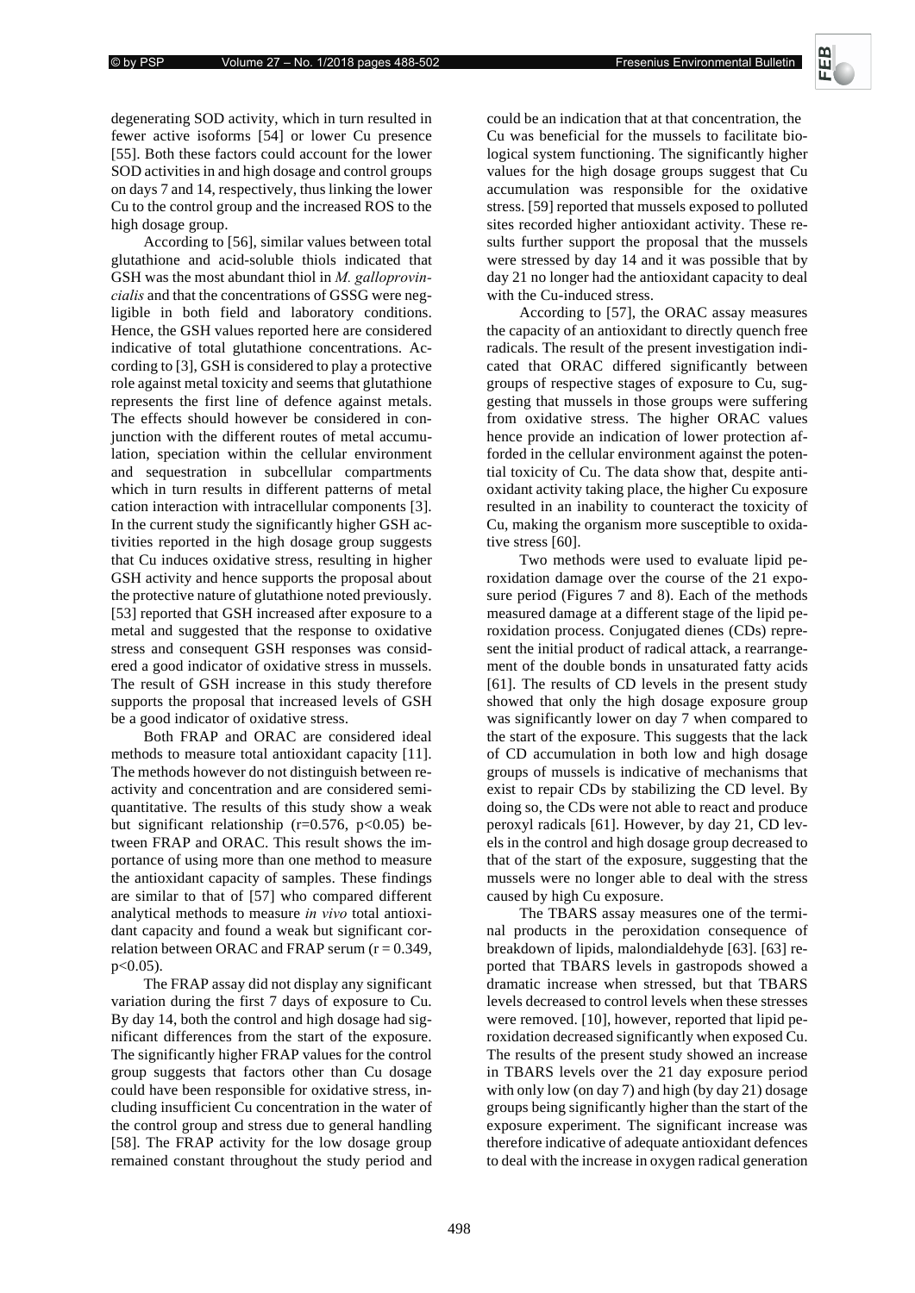Fresenius Environmental Bulletin



degenerating SOD activity, which in turn resulted in fewer active isoforms [54] or lower Cu presence [55]. Both these factors could account for the lower SOD activities in and high dosage and control groups on days 7 and 14, respectively, thus linking the lower Cu to the control group and the increased ROS to the high dosage group.

According to [56], similar values between total glutathione and acid-soluble thiols indicated that GSH was the most abundant thiol in *M*. galloprovincialis and that the concentrations of GSSG were negligible in both field and laboratory conditions. Hence, the GSH values reported here are considered indicative of total glutathione concentrations. According to [3], GSH is considered to play a protective role against metal toxicity and seems that glutathione represents the first line of defence against metals. The effects should however be considered in conjunction with the different routes of metal accumulation, speciation within the cellular environment and sequestration in subcellular compartments which in turn results in different patterns of metal cation interaction with intracellular components [3]. In the current study the significantly higher GSH activities reported in the high dosage group suggests that Cu induces oxidative stress, resulting in higher GSH activity and hence supports the proposal about the protective nature of glutathione noted previously. [53] reported that GSH increased after exposure to a metal and suggested that the response to oxidative stress and consequent GSH responses was considered a good indicator of oxidative stress in mussels. The result of GSH increase in this study therefore supports the proposal that increased levels of GSH be a good indicator of oxidative stress.

Both FRAP and ORAC are considered ideal methods to measure total antioxidant capacity [11]. The methods however do not distinguish between reactivity and concentration and are considered semiquantitative. The results of this study show a weak but significant relationship ( $r=0.576$ ,  $p<0.05$ ) between FRAP and ORAC. This result shows the importance of using more than one method to measure the antioxidant capacity of samples. These findings are similar to that of [57] who compared different analytical methods to measure *in vivo* total antioxidant capacity and found a weak but significant correlation between ORAC and FRAP serum  $(r = 0.349)$ ,  $p<0.05$ ).

The FRAP assay did not display any significant variation during the first 7 days of exposure to Cu. By day 14, both the control and high dosage had significant differences from the start of the exposure. The significantly higher FRAP values for the control group suggests that factors other than Cu dosage could have been responsible for oxidative stress, including insufficient Cu concentration in the water of the control group and stress due to general handling [58]. The FRAP activity for the low dosage group remained constant throughout the study period and

could be an indication that at that concentration, the Cu was beneficial for the mussels to facilitate biological system functioning. The significantly higher values for the high dosage groups suggest that Cu accumulation was responsible for the oxidative stress. [59] reported that mussels exposed to polluted sites recorded higher antioxidant activity. These results further support the proposal that the mussels were stressed by day 14 and it was possible that by day 21 no longer had the antioxidant capacity to deal with the Cu-induced stress.

According to [57], the ORAC assay measures the capacity of an antioxidant to directly quench free radicals. The result of the present investigation indicated that ORAC differed significantly between groups of respective stages of exposure to Cu, suggesting that mussels in those groups were suffering from oxidative stress. The higher ORAC values hence provide an indication of lower protection afforded in the cellular environment against the potential toxicity of Cu. The data show that, despite antioxidant activity taking place, the higher Cu exposure resulted in an inability to counteract the toxicity of Cu, making the organism more susceptible to oxidative stress [60].

Two methods were used to evaluate lipid peroxidation damage over the course of the 21 exposure period (Figures 7 and 8). Each of the methods measured damage at a different stage of the lipid peroxidation process. Conjugated dienes (CDs) represent the initial product of radical attack, a rearrangement of the double bonds in unsaturated fatty acids [61]. The results of CD levels in the present study showed that only the high dosage exposure group was significantly lower on day 7 when compared to the start of the exposure. This suggests that the lack of CD accumulation in both low and high dosage groups of mussels is indicative of mechanisms that exist to repair CDs by stabilizing the CD level. By doing so, the CDs were not able to react and produce peroxyl radicals [61]. However, by day 21, CD levels in the control and high dosage group decreased to that of the start of the exposure, suggesting that the mussels were no longer able to deal with the stress caused by high Cu exposure.

The TBARS assay measures one of the terminal products in the peroxidation consequence of breakdown of lipids, malondialdehyde [63]. [63] reported that TBARS levels in gastropods showed a dramatic increase when stressed, but that TBARS levels decreased to control levels when these stresses were removed. [10], however, reported that lipid peroxidation decreased significantly when exposed Cu. The results of the present study showed an increase in TBARS levels over the 21 day exposure period with only low (on day 7) and high (by day 21) dosage groups being significantly higher than the start of the exposure experiment. The significant increase was therefore indicative of adequate antioxidant defences to deal with the increase in oxygen radical generation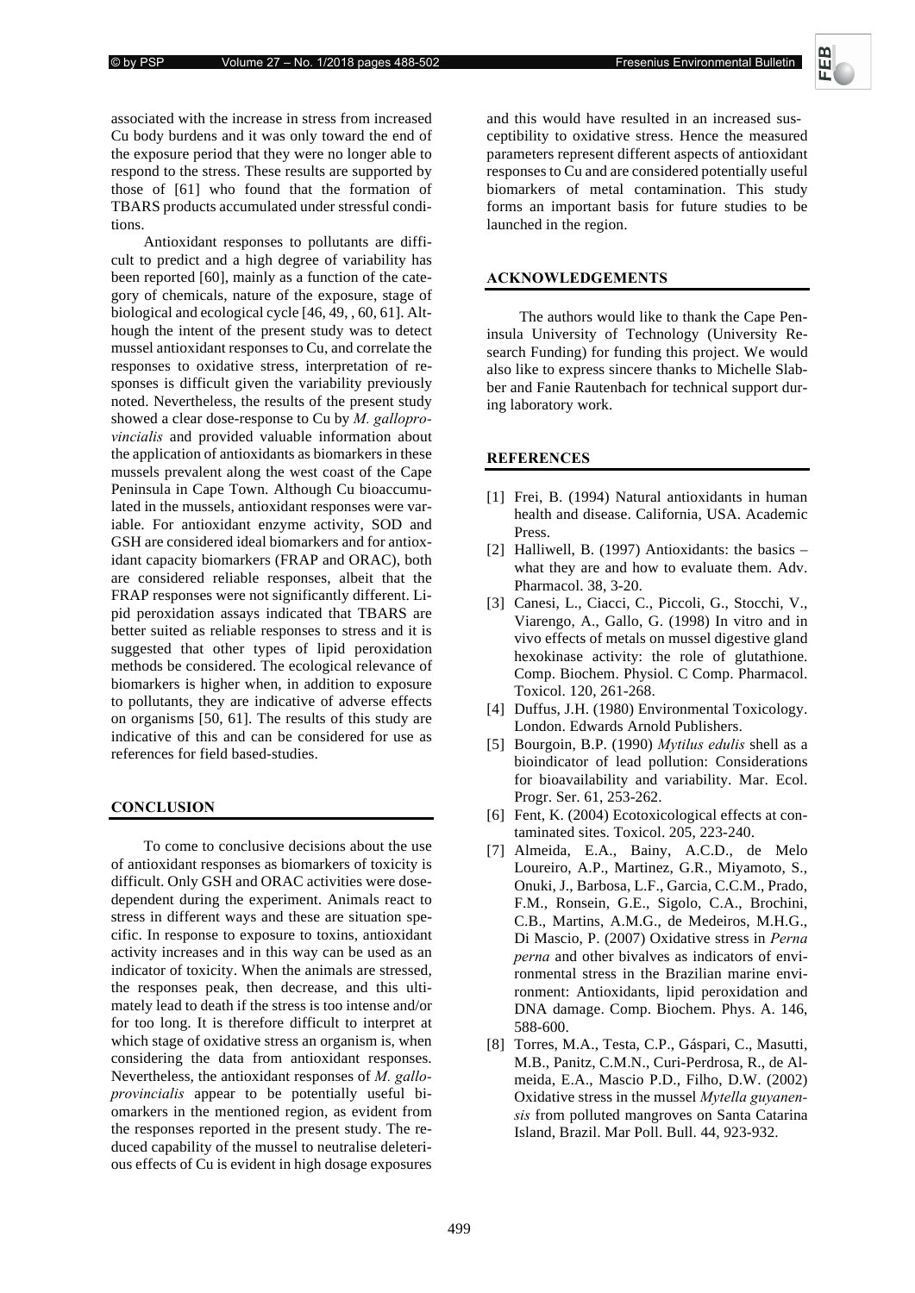

associated with the increase in stress from increased Cu body burdens and it was only toward the end of the exposure period that they were no longer able to respond to the stress. These results are supported by those of [61] who found that the formation of TBARS products accumulated under stressful conditions.

Antioxidant responses to pollutants are difficult to predict and a high degree of variability has been reported [60], mainly as a function of the category of chemicals, nature of the exposure, stage of biological and ecological cycle [46, 49, , 60, 61]. Although the intent of the present study was to detect mussel antioxidant responses to Cu, and correlate the responses to oxidative stress, interpretation of responses is difficult given the variability previously noted. Nevertheless, the results of the present study showed a clear dose-response to Cu by *M. galloprovincialis* and provided valuable information about the application of antioxidants as biomarkers in these mussels prevalent along the west coast of the Cape Peninsula in Cape Town. Although Cu bioaccumulated in the mussels, antioxidant responses were variable. For antioxidant enzyme activity, SOD and GSH are considered ideal biomarkers and for antioxidant capacity biomarkers (FRAP and ORAC), both are considered reliable responses, albeit that the FRAP responses were not significantly different. Lipid peroxidation assays indicated that TBARS are better suited as reliable responses to stress and it is suggested that other types of lipid peroxidation methods be considered. The ecological relevance of biomarkers is higher when, in addition to exposure to pollutants, they are indicative of adverse effects on organisms [50, 61]. The results of this study are indicative of this and can be considered for use as references for field based-studies.

# $$

To come to conclusive decisions about the use of antioxidant responses as biomarkers of toxicity is difficult. Only GSH and ORAC activities were dosedependent during the experiment. Animals react to stress in different ways and these are situation specific. In response to exposure to toxins, antioxidant activity increases and in this way can be used as an indicator of toxicity. When the animals are stressed, the responses peak, then decrease, and this ultimately lead to death if the stress is too intense and/or for too long. It is therefore difficult to interpret at which stage of oxidative stress an organism is, when considering the data from antioxidant responses. Nevertheless, the antioxidant responses of  *provincialis* appear to be potentially useful biomarkers in the mentioned region, as evident from the responses reported in the present study. The reduced capability of the mussel to neutralise deleterious effects of Cu is evident in high dosage exposures

and this would have resulted in an increased susceptibility to oxidative stress. Hence the measured parameters represent different aspects of antioxidant responses to Cu and are considered potentially useful biomarkers of metal contamination. This study forms an important basis for future studies to be launched in the region.

## ${\bf ACKNOWLEDGEMENTS}$

The authors would like to thank the Cape Peninsula University of Technology (University Research Funding) for funding this project. We would also like to express sincere thanks to Michelle Slabber and Fanie Rautenbach for technical support during laboratory work.

## **REFERENCES**

- [1] Frei, B. (1994) Natural antioxidants in human health and disease. California, USA. Academic Press.
- [2] Halliwell, B. (1997) Antioxidants: the basics what they are and how to evaluate them. Adv. Pharmacol. 38, 3-20.
- [3] Canesi, L., Ciacci, C., Piccoli, G., Stocchi, V., Viarengo, A., Gallo, G. (1998) In vitro and in vivo effects of metals on mussel digestive gland hexokinase activity: the role of glutathione. Comp. Biochem. Physiol. C Comp. Pharmacol. Toxicol. 120, 261-268.
- [4] Duffus, J.H. (1980) Environmental Toxicology. London. Edwards Arnold Publishers.
- [5] Bourgoin, B.P. (1990) *Mytilus edulis shell as a* bioindicator of lead pollution: Considerations for bioavailability and variability. Mar. Ecol. Progr. Ser. 61, 253-262.
- [6] Fent, K. (2004) Ecotoxicological effects at contaminated sites. Toxicol. 205, 223-240.
- [7] Almeida, E.A., Bainy, A.C.D., de Melo Loureiro, A.P., Martinez, G.R., Miyamoto, S., Onuki, J., Barbosa, L.F., Garcia, C.C.M., Prado, F.M., Ronsein, G.E., Sigolo, C.A., Brochini, C.B., Martins, A.M.G., de Medeiros, M.H.G., Di Mascio, P. (2007) Oxidative stress in Perna perna and other bivalves as indicators of environmental stress in the Brazilian marine environment: Antioxidants, lipid peroxidation and DNA damage. Comp. Biochem. Phys. A. 146, 588-600.
- [8] Torres, M.A., Testa, C.P., Gáspari, C., Masutti, M.B., Panitz, C.M.N., Curi-Perdrosa, R., de Almeida, E.A., Mascio P.D., Filho, D.W. (2002) Oxidative stress in the mussel Mytella guyanensis from polluted mangroves on Santa Catarina Island, Brazil. Mar Poll. Bull. 44, 923-932.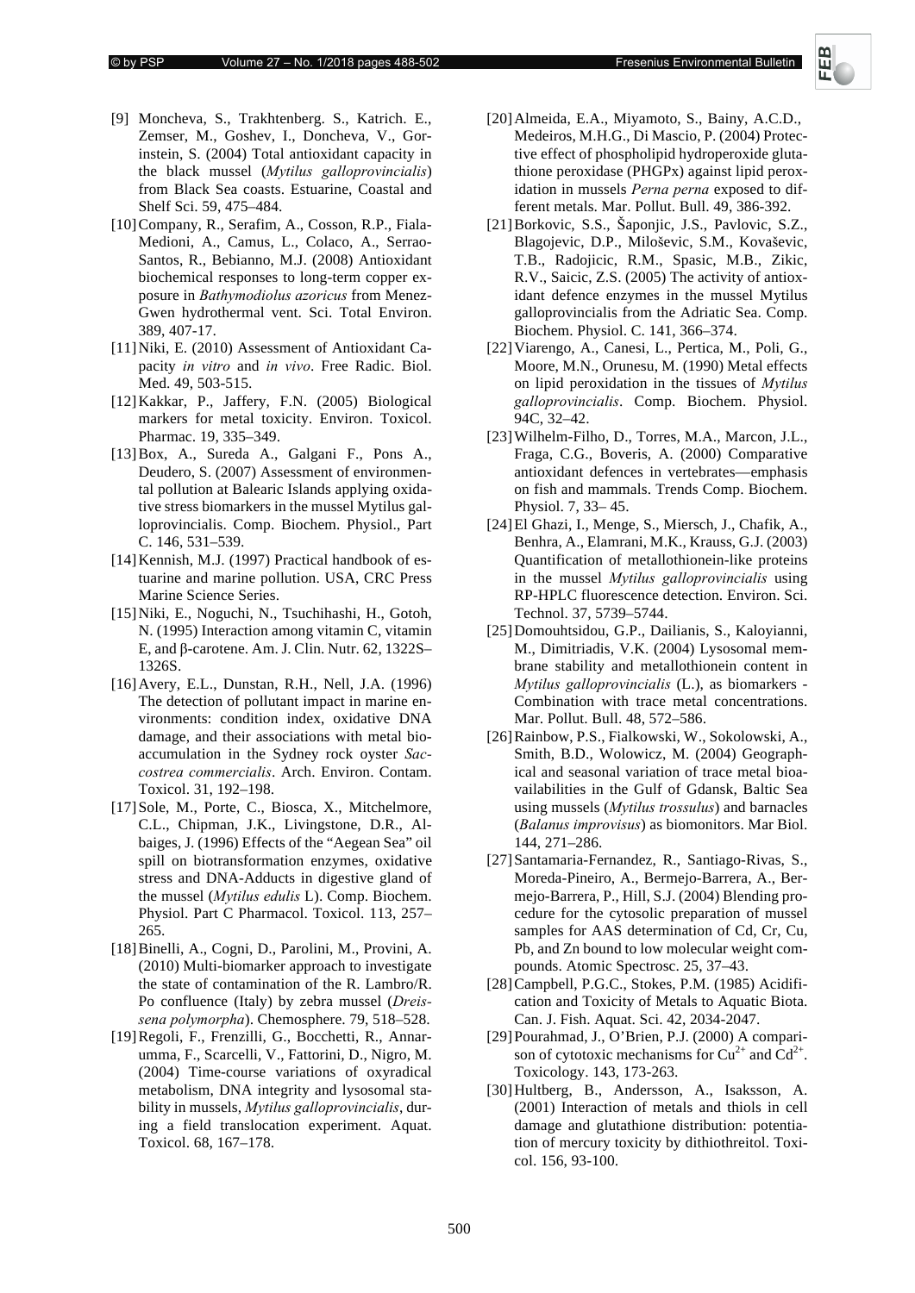- [9] Moncheva, S., Trakhtenberg. S., Katrich. E., Zemser, M., Goshev, I., Doncheva, V., Gorinstein, S. (2004) Total antioxidant capacity in the black mussel (Mytilus galloprovincialis) from Black Sea coasts. Estuarine, Coastal and Shelf Sci. 59, 475–484.
- [10]Company, R., Serafim, A., Cosson, R.P., Fiala-Medioni, A., Camus, L., Colaco, A., Serrao-Santos, R., Bebianno, M.J. (2008) Antioxidant biochemical responses to long-term copper exposure in *Bathymodiolus azoricus* from Menez-Gwen hydrothermal vent. Sci. Total Environ. 389, 407-17.
- [11]Niki, E. (2010) Assessment of Antioxidant Capacity *in vitro* and *in vivo*. Free Radic. Biol. Med. 49, 503-515.
- [12]Kakkar, P., Jaffery, F.N. (2005) Biological markers for metal toxicity. Environ. Toxicol. Pharmac. 19, 335–349.
- [13]Box, A., Sureda A., Galgani F., Pons A., Deudero, S. (2007) Assessment of environmental pollution at Balearic Islands applying oxidative stress biomarkers in the mussel Mytilus galloprovincialis. Comp. Biochem. Physiol., Part C. 146, 531–539.
- [14] Kennish, M.J. (1997) Practical handbook of estuarine and marine pollution. USA, CRC Press Marine Science Series.
- [15]Niki, E., Noguchi, N., Tsuchihashi, H., Gotoh, N. (1995) Interaction among vitamin C, vitamin E, and β-carotene. Am. J. Clin. Nutr. 62, 1322S– 1326S.
- [16]Avery, E.L., Dunstan, R.H., Nell, J.A. (1996) The detection of pollutant impact in marine environments: condition index, oxidative DNA damage, and their associations with metal bioaccumulation in the Sydney rock oyster Saccostrea commercialis. Arch. Environ. Contam. Toxicol. 31, 192–198.
- [17]Sole, M., Porte, C., Biosca, X., Mitchelmore, C.L., Chipman, J.K., Livingstone, D.R., Albaiges, J. (1996) Effects of the "Aegean Sea" oil spill on biotransformation enzymes, oxidative stress and DNA-Adducts in digestive gland of the mussel (*Mytilus edulis* L). Comp. Biochem. Physiol. Part C Pharmacol. Toxicol. 113, 257– 265.
- [18]Binelli, A., Cogni, D., Parolini, M., Provini, A. (2010) Multi-biomarker approach to investigate the state of contamination of the R. Lambro/R. Po confluence (Italy) by zebra mussel (*Dreis*sena polymorpha). Chemosphere. 79, 518–528.
- [19]Regoli, F., Frenzilli, G., Bocchetti, R., Annarumma, F., Scarcelli, V., Fattorini, D., Nigro, M. (2004) Time-course variations of oxyradical metabolism, DNA integrity and lysosomal stability in mussels, *Mytilus galloprovincialis*, during a field translocation experiment. Aquat. Toxicol. 68, 167–178.
- [20]Almeida, E.A., Miyamoto, S., Bainy, A.C.D., Medeiros, M.H.G., Di Mascio, P. (2004) Protective effect of phospholipid hydroperoxide glutathione peroxidase (PHGPx) against lipid peroxidation in mussels *Perna perna* exposed to different metals. Mar. Pollut. Bull. 49, 386-392.
- [21]Borkovic, S.S., Šaponjic, J.S., Pavlovic, S.Z., Blagojevic, D.P., Miloševic, S.M., Kovaševic, T.B., Radojicic, R.M., Spasic, M.B., Zikic, R.V., Saicic, Z.S. (2005) The activity of antioxidant defence enzymes in the mussel Mytilus galloprovincialis from the Adriatic Sea. Comp. Biochem. Physiol. C. 141, 366–374.
- [22]Viarengo, A., Canesi, L., Pertica, M., Poli, G., Moore, M.N., Orunesu, M. (1990) Metal effects on lipid peroxidation in the tissues of *Mytilus galloprovincialis.* Comp. Biochem. Physiol. 94C, 32–42.
- [23]Wilhelm-Filho, D., Torres, M.A., Marcon, J.L., Fraga, C.G., Boveris, A. (2000) Comparative antioxidant defences in vertebrates—emphasis on fish and mammals. Trends Comp. Biochem. Physiol. 7, 33– 45.
- [24]El Ghazi, I., Menge, S., Miersch, J., Chafik, A., Benhra, A., Elamrani, M.K., Krauss, G.J. (2003) Quantification of metallothionein-like proteins in the mussel *Mytilus galloprovincialis* using RP-HPLC fluorescence detection. Environ. Sci. Technol. 37, 5739–5744.
- [25]Domouhtsidou, G.P., Dailianis, S., Kaloyianni, M., Dimitriadis, V.K. (2004) Lysosomal membrane stability and metallothionein content in *Mytilus galloprovincialis* (L.), as biomarkers -Combination with trace metal concentrations. Mar. Pollut. Bull. 48, 572–586.
- [26]Rainbow, P.S., Fialkowski, W., Sokolowski, A., Smith, B.D., Wolowicz, M. (2004) Geographical and seasonal variation of trace metal bioavailabilities in the Gulf of Gdansk, Baltic Sea using mussels (Mytilus trossulus) and barnacles (*Balanus improvisus*) as biomonitors. Mar Biol. 144, 271–286.
- [27]Santamaria-Fernandez, R., Santiago-Rivas, S., Moreda-Pineiro, A., Bermejo-Barrera, A., Bermejo-Barrera, P., Hill, S.J. (2004) Blending procedure for the cytosolic preparation of mussel samples for AAS determination of Cd, Cr, Cu, Pb, and Zn bound to low molecular weight compounds. Atomic Spectrosc. 25, 37–43.
- [28]Campbell, P.G.C., Stokes, P.M. (1985) Acidification and Toxicity of Metals to Aquatic Biota. Can. J. Fish. Aquat. Sci. 42, 2034-2047.
- [29]Pourahmad, J., O'Brien, P.J. (2000) A comparison of cytotoxic mechanisms for  $Cu^{2+}$  and  $Cd^{2+}$ . Toxicology. 143, 173-263.
- [30]Hultberg, B., Andersson, A., Isaksson, A. (2001) Interaction of metals and thiols in cell damage and glutathione distribution: potentiation of mercury toxicity by dithiothreitol. Toxicol. 156, 93-100.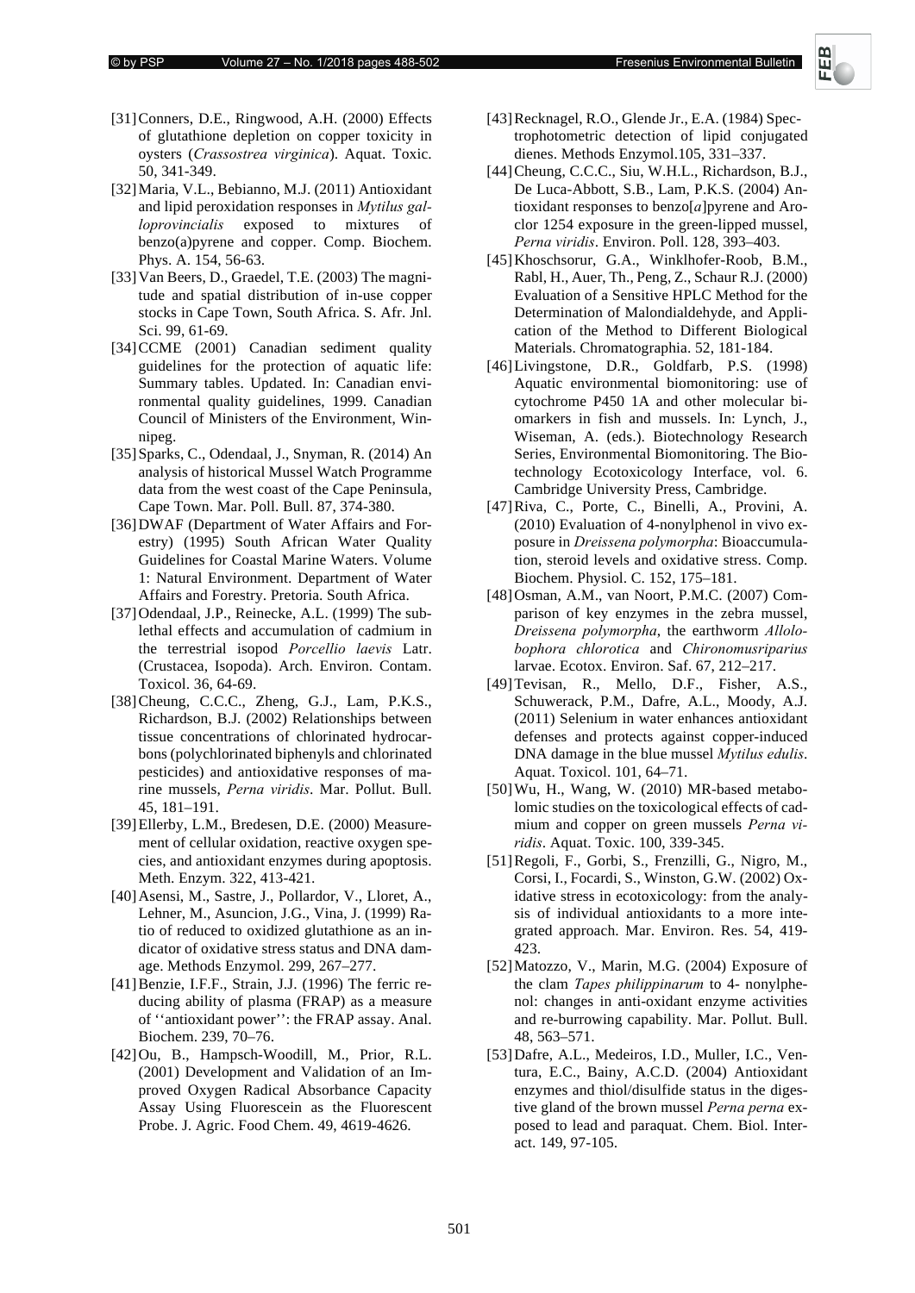- [31]Conners, D.E., Ringwood, A.H. (2000) Effects of glutathione depletion on copper toxicity in oysters (Crassostrea virginica). Aquat. Toxic. 50, 341-349.
- [32]Maria, V.L., Bebianno, M.J. (2011) Antioxidant and lipid peroxidation responses in *Mytilus galloprovincialis* exposed to mixtures of benzo(a)pyrene and copper. Comp. Biochem. Phys. A. 154, 56-63.
- [33]Van Beers, D., Graedel, T.E. (2003) The magnitude and spatial distribution of in-use copper stocks in Cape Town, South Africa. S. Afr. Jnl. Sci. 99, 61-69.
- [34]CCME (2001) Canadian sediment quality guidelines for the protection of aquatic life: Summary tables. Updated. In: Canadian environmental quality guidelines, 1999. Canadian Council of Ministers of the Environment, Winnipeg.
- [35]Sparks, C., Odendaal, J., Snyman, R. (2014) An analysis of historical Mussel Watch Programme data from the west coast of the Cape Peninsula, Cape Town. Mar. Poll. Bull. 87, 374-380.
- [36]DWAF (Department of Water Affairs and Forestry) (1995) South African Water Quality Guidelines for Coastal Marine Waters. Volume 1: Natural Environment. Department of Water Affairs and Forestry. Pretoria. South Africa.
- [37] Odendaal, J.P., Reinecke, A.L. (1999) The sublethal effects and accumulation of cadmium in the terrestrial isopod *Porcellio laevis* Latr. (Crustacea, Isopoda). Arch. Environ. Contam. Toxicol. 36, 64-69.
- [38]Cheung, C.C.C., Zheng, G.J., Lam, P.K.S., Richardson, B.J. (2002) Relationships between tissue concentrations of chlorinated hydrocarbons (polychlorinated biphenyls and chlorinated pesticides) and antioxidative responses of marine mussels, *Perna viridis*. Mar. Pollut. Bull. 45, 181–191.
- [39]Ellerby, L.M., Bredesen, D.E. (2000) Measurement of cellular oxidation, reactive oxygen species, and antioxidant enzymes during apoptosis. Meth. Enzym. 322, 413-421.
- [40]Asensi, M., Sastre, J., Pollardor, V., Lloret, A., Lehner, M., Asuncion, J.G., Vina, J. (1999) Ratio of reduced to oxidized glutathione as an indicator of oxidative stress status and DNA damage. Methods Enzymol. 299, 267–277.
- [41]Benzie, I.F.F., Strain, J.J. (1996) The ferric reducing ability of plasma (FRAP) as a measure of ''antioxidant power'': the FRAP assay. Anal. Biochem. 239, 70–76.
- [42]Ou, B., Hampsch-Woodill, M., Prior, R.L. (2001) Development and Validation of an Improved Oxygen Radical Absorbance Capacity Assay Using Fluorescein as the Fluorescent Probe. J. Agric. Food Chem. 49, 4619-4626.
- [43]Recknagel, R.O., Glende Jr., E.A. (1984) Spectrophotometric detection of lipid conjugated dienes. Methods Enzymol.105, 331–337.
- [44]Cheung, C.C.C., Siu, W.H.L., Richardson, B.J., De Luca-Abbott, S.B., Lam, P.K.S. (2004) Antioxidant responses to benzo $[a]$  pyrene and Aroclor 1254 exposure in the green-lipped mussel, . Environ. Poll. 128, 393–403.
- [45]Khoschsorur, G.A., Winklhofer-Roob, B.M., Rabl, H., Auer, Th., Peng, Z., Schaur R.J. (2000) Evaluation of a Sensitive HPLC Method for the Determination of Malondialdehyde, and Application of the Method to Different Biological Materials. Chromatographia. 52, 181-184.
- [46]Livingstone, D.R., Goldfarb, P.S. (1998) Aquatic environmental biomonitoring: use of cytochrome P450 1A and other molecular biomarkers in fish and mussels. In: Lynch, J., Wiseman, A. (eds.). Biotechnology Research Series, Environmental Biomonitoring. The Biotechnology Ecotoxicology Interface, vol. 6. Cambridge University Press, Cambridge.
- [47]Riva, C., Porte, C., Binelli, A., Provini, A. (2010) Evaluation of 4-nonylphenol in vivo exposure in *Dreissena polymorpha*: Bioaccumulation, steroid levels and oxidative stress. Comp. Biochem. Physiol. C. 152, 175–181.
- [48]Osman, A.M., van Noort, P.M.C. (2007) Comparison of key enzymes in the zebra mussel, Dreissena polymorpha, the earthworm Allolo*bophora chlorotica* and *Chironomusriparius* larvae. Ecotox. Environ. Saf. 67, 212–217.
- [49]Tevisan, R., Mello, D.F., Fisher, A.S., Schuwerack, P.M., Dafre, A.L., Moody, A.J. (2011) Selenium in water enhances antioxidant defenses and protects against copper-induced DNA damage in the blue mussel *Mytilus edulis*. Aquat. Toxicol. 101, 64–71.
- [50]Wu, H., Wang, W. (2010) MR-based metabolomic studies on the toxicological effects of cadmium and copper on green mussels Perna vi-. Aquat. Toxic. 100, 339-345.
- [51]Regoli, F., Gorbi, S., Frenzilli, G., Nigro, M., Corsi, I., Focardi, S., Winston, G.W. (2002) Oxidative stress in ecotoxicology: from the analysis of individual antioxidants to a more integrated approach. Mar. Environ. Res. 54, 419- 423.
- [52]Matozzo, V., Marin, M.G. (2004) Exposure of the clam *Tapes philippinarum* to 4- nonylphenol: changes in anti-oxidant enzyme activities and re-burrowing capability. Mar. Pollut. Bull. 48, 563–571.
- [53]Dafre, A.L., Medeiros, I.D., Muller, I.C., Ventura, E.C., Bainy, A.C.D. (2004) Antioxidant enzymes and thiol/disulfide status in the digestive gland of the brown mussel *Perna perna* exposed to lead and paraquat. Chem. Biol. Interact. 149, 97-105.